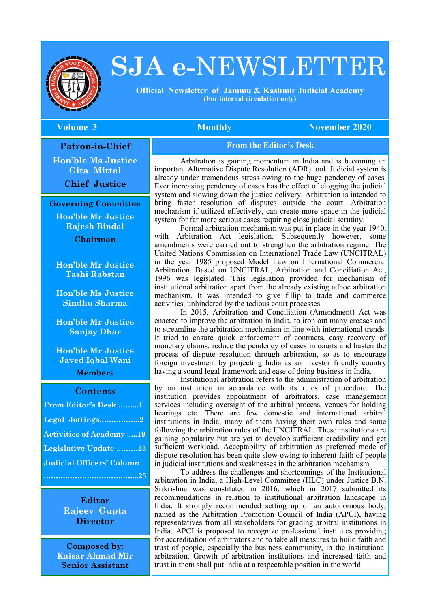

# **SJA e-**NEWSLETTER

 **Official Newsletter of Jammu & Kashmir Judicial Academy (For internal circulation only)**

#### **The Volume 3 Monthly November 2020** Monthly November 2020

**Patron-in-Chief**

**Hon'ble Ms Justice Gita Mittal Chief Justice**

#### **Governing Committee**

**Hon'ble Mr Justice Rajesh Bindal**

**Chairman**

**Hon'ble Mr Justice Tashi Rabstan**

**Hon'ble Ms Justice Sindhu Sharma**

**Hon'ble Mr Justice Sanjay Dhar**

**Hon'ble Mr Justice Javed Iqbal Wani**

**Members**

#### **Contents**

| From Editor's Desk 1             |  |
|----------------------------------|--|
| Legal Jottings2                  |  |
| <b>Activities of Academy 19</b>  |  |
| Legislative Update 23            |  |
| <b>Judicial Officers' Column</b> |  |
|                                  |  |

**Editor Rajeev Gupta Director**

**Composed by: Kaisar Ahmad Mir Senior Assistant**

#### **From the Editor's Desk**

Arbitration is gaining momentum in India and is becoming an important Alternative Dispute Resolution (ADR) tool. Judicial system is already under tremendous stress owing to the huge pendency of cases. Ever increasing pendency of cases has the effect of clogging the judicial system and slowing down the justice delivery. Arbitration is intended to bring faster resolution of disputes outside the court. Arbitration mechanism if utilized effectively, can create more space in the judicial system for far more serious cases requiring close judicial scrutiny.

Formal arbitration mechanism was put in place in the year 1940, with Arbitration Act legislation. Subsequently however, some amendments were carried out to strengthen the arbitration regime. The United Nations Commission on International Trade Law (UNCITRAL) in the year 1985 proposed Model Law on International Commercial Arbitration. Based on UNCITRAL, Arbitration and Conciliation Act, 1996 was legislated. This legislation provided for mechanism of institutional arbitration apart from the already existing adhoc arbitration mechanism. It was intended to give fillip to trade and commerce activities, unhindered by the tedious court processes.

In 2015, Arbitration and Conciliation (Amendment) Act was enacted to improve the arbitration in India, to iron out many creases and to streamline the arbitration mechanism in line with international trends. It tried to ensure quick enforcement of contracts, easy recovery of monetary claims, reduce the pendency of cases in courts and hasten the process of dispute resolution through arbitration, so as to encourage foreign investment by projecting India as an investor friendly country having a sound legal framework and ease of doing business in India.

Institutional arbitration refers to the administration of arbitration by an institution in accordance with its rules of procedure. The institution provides appointment of arbitrators, case management services including oversight of the arbitral process, venues for holding hearings etc. There are few domestic and international arbitral institutions in India, many of them having their own rules and some following the arbitration rules of the UNCITRAL. These institutions are gaining popularity but are yet to develop sufficient credibility and get sufficient workload. Acceptability of arbitration as preferred mode of dispute resolution has been quite slow owing to inherent faith of people in judicial institutions and weaknesses in the arbitration mechanism.

To address the challenges and shortcomings of the Institutional arbitration in India, a High-Level Committee (HLC) under Justice B.N. Srikrishna was constituted in 2016, which in 2017 submitted its recommendations in relation to institutional arbitration landscape in India. It strongly recommended setting up of an autonomous body, named as the Arbitration Promotion Council of India (APCI), having representatives from all stakeholders for grading arbitral institutions in India. APCI is proposed to recognize professional institutes providing for accreditation of arbitrators and to take all measures to build faith and trust of people, especially the business community, in the institutional arbitration. Growth of arbitration institutions and increased faith and trust in them shall put India at a respectable position in the world.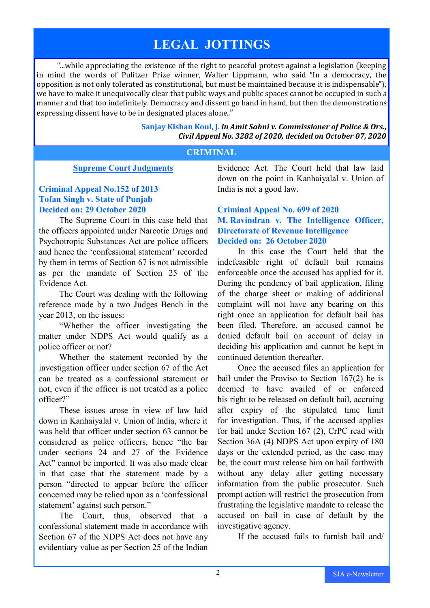# **LEGAL JOTTINGS**

"...while appreciating the existence of the right to peaceful protest against a legislation (keeping in mind the words of Pulitzer Prize winner, Walter Lippmann, who said "In a democracy, the opposition is not only tolerated as constitutional, but must be maintained because it is indispensable"), we have to make it unequivocally clear that public ways and public spaces cannot be occupied in such a manner and that too indefinitely. Democracy and dissent go hand in hand, but then the demonstrations expressing dissent have to be in designated places alone.."

#### **Sanjay Kishan Koul, J.** *in Amit Sahni v. Commissioner of Police & Ors., Civil Appeal No. 3282 of 2020, decided on October 07, 2020*

#### **CRIMINAL**

#### **Supreme Court Judgments**

#### **Criminal Appeal No.152 of 2013 Tofan Singh v. State of Punjab Decided on: 29 October 2020**

The Supreme Court in this case held that the officers appointed under Narcotic Drugs and Psychotropic Substances Act are police officers and hence the 'confessional statement' recorded by them in terms of Section 67 is not admissible as per the mandate of Section 25 of the Evidence Act.

The Court was dealing with the following reference made by a two Judges Bench in the year 2013, on the issues:

"Whether the officer investigating the matter under NDPS Act would qualify as a police officer or not?

Whether the statement recorded by the investigation officer under section 67 of the Act can be treated as a confessional statement or not, even if the officer is not treated as a police officer?"

These issues arose in view of law laid down in Kanhaiyalal v. Union of India, where it was held that officer under section 63 cannot be considered as police officers, hence "the bar under sections 24 and 27 of the Evidence Act" cannot be imported. It was also made clear in that case that the statement made by a person "directed to appear before the officer concerned may be relied upon as a 'confessional statement' against such person."

The Court, thus, observed that a confessional statement made in accordance with Section 67 of the NDPS Act does not have any evidentiary value as per Section 25 of the Indian Evidence Act. The Court held that law laid down on the point in Kanhaiyalal v. Union of India is not a good law.

#### **Criminal Appeal No. 699 of 2020 M. Ravindran v. The Intelligence Officer, Directorate of Revenue Intelligence Decided on: 26 October 2020**

In this case the Court held that the indefeasible right of default bail remains enforceable once the accused has applied for it. During the pendency of bail application, filing of the charge sheet or making of additional complaint will not have any bearing on this right once an application for default bail has been filed. Therefore, an accused cannot be denied default bail on account of delay in deciding his application and cannot be kept in continued detention thereafter.

Once the accused files an application for bail under the Proviso to Section 167(2) he is deemed to have availed of or enforced his right to be released on default bail, accruing after expiry of the stipulated time limit for investigation. Thus, if the accused applies for bail under Section 167 (2), CrPC read with Section 36A (4) NDPS Act upon expiry of 180 days or the extended period, as the case may be, the court must release him on bail forthwith without any delay after getting necessary information from the public prosecutor. Such prompt action will restrict the prosecution from frustrating the legislative mandate to release the accused on bail in case of default by the investigative agency.

If the accused fails to furnish bail and/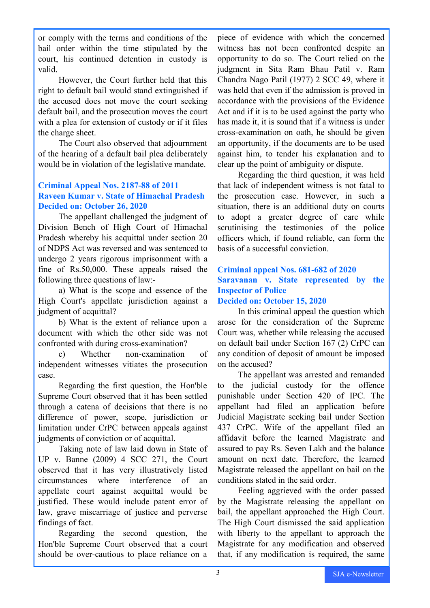or comply with the terms and conditions of the bail order within the time stipulated by the court, his continued detention in custody is valid.

However, the Court further held that this right to default bail would stand extinguished if the accused does not move the court seeking default bail, and the prosecution moves the court with a plea for extension of custody or if it files the charge sheet.

The Court also observed that adjournment of the hearing of a default bail plea deliberately would be in violation of the legislative mandate.

#### **Criminal Appeal Nos. 2187-88 of 2011 Raveen Kumar v. State of Himachal Pradesh Decided on: October 26, 2020**

The appellant challenged the judgment of Division Bench of High Court of Himachal Pradesh whereby his acquittal under section 20 of NDPS Act was reversed and was sentenced to undergo 2 years rigorous imprisonment with a fine of Rs.50,000. These appeals raised the following three questions of law:-

a) What is the scope and essence of the High Court's appellate jurisdiction against a judgment of acquittal?

b) What is the extent of reliance upon a document with which the other side was not confronted with during cross-examination?

c) Whether non-examination of independent witnesses vitiates the prosecution case.

Regarding the first question, the Hon'ble Supreme Court observed that it has been settled through a catena of decisions that there is no difference of power, scope, jurisdiction or limitation under CrPC between appeals against judgments of conviction or of acquittal.

Taking note of law laid down in State of UP v. Banne (2009) 4 SCC 271, the Court observed that it has very illustratively listed circumstances where interference of an appellate court against acquittal would be justified. These would include patent error of law, grave miscarriage of justice and perverse findings of fact.

Regarding the second question, the Hon'ble Supreme Court observed that a court should be over-cautious to place reliance on a piece of evidence with which the concerned witness has not been confronted despite an opportunity to do so. The Court relied on the judgment in Sita Ram Bhau Patil v. Ram Chandra Nago Patil (1977) 2 SCC 49, where it was held that even if the admission is proved in accordance with the provisions of the Evidence Act and if it is to be used against the party who has made it, it is sound that if a witness is under cross-examination on oath, he should be given an opportunity, if the documents are to be used against him, to tender his explanation and to clear up the point of ambiguity or dispute.

Regarding the third question, it was held that lack of independent witness is not fatal to the prosecution case. However, in such a situation, there is an additional duty on courts to adopt a greater degree of care while scrutinising the testimonies of the police officers which, if found reliable, can form the basis of a successful conviction.

## **Criminal appeal Nos. 681-682 of 2020 Saravanan v. State represented by the Inspector of Police**

#### **Decided on: October 15, 2020**

In this criminal appeal the question which arose for the consideration of the Supreme Court was, whether while releasing the accused on default bail under Section 167 (2) CrPC can any condition of deposit of amount be imposed on the accused?

The appellant was arrested and remanded to the judicial custody for the offence punishable under Section 420 of IPC. The appellant had filed an application before Judicial Magistrate seeking bail under Section 437 CrPC. Wife of the appellant filed an affidavit before the learned Magistrate and assured to pay Rs. Seven Lakh and the balance amount on next date. Therefore, the learned Magistrate released the appellant on bail on the conditions stated in the said order.

Feeling aggrieved with the order passed by the Magistrate releasing the appellant on bail, the appellant approached the High Court. The High Court dismissed the said application with liberty to the appellant to approach the Magistrate for any modification and observed that, if any modification is required, the same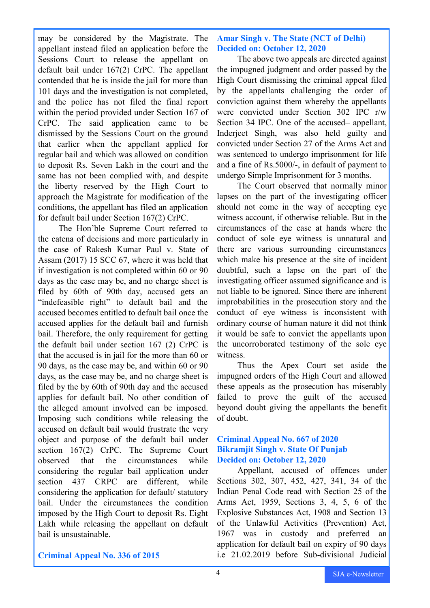may be considered by the Magistrate. The appellant instead filed an application before the Sessions Court to release the appellant on default bail under 167(2) CrPC. The appellant contended that he is inside the jail for more than 101 days and the investigation is not completed, and the police has not filed the final report within the period provided under Section 167 of CrPC. The said application came to be dismissed by the Sessions Court on the ground that earlier when the appellant applied for regular bail and which was allowed on condition to deposit Rs. Seven Lakh in the court and the same has not been complied with, and despite the liberty reserved by the High Court to approach the Magistrate for modification of the conditions, the appellant has filed an application for default bail under Section 167(2) CrPC.

The Hon'ble Supreme Court referred to the catena of decisions and more particularly in the case of Rakesh Kumar Paul v. State of Assam (2017) 15 SCC 67, where it was held that if investigation is not completed within 60 or 90 days as the case may be, and no charge sheet is filed by 60th of 90th day, accused gets an "indefeasible right" to default bail and the accused becomes entitled to default bail once the accused applies for the default bail and furnish bail. Therefore, the only requirement for getting the default bail under section 167 (2) CrPC is that the accused is in jail for the more than 60 or 90 days, as the case may be, and within 60 or 90 days, as the case may be, and no charge sheet is filed by the by 60th of 90th day and the accused applies for default bail. No other condition of the alleged amount involved can be imposed. Imposing such conditions while releasing the accused on default bail would frustrate the very object and purpose of the default bail under section 167(2) CrPC. The Supreme Court observed that the circumstances while considering the regular bail application under section 437 CRPC are different, while considering the application for default/ statutory bail. Under the circumstances the condition imposed by the High Court to deposit Rs. Eight Lakh while releasing the appellant on default bail is unsustainable.

#### **Amar Singh v. The State (NCT of Delhi) Decided on: October 12, 2020**

The above two appeals are directed against the impugned judgment and order passed by the High Court dismissing the criminal appeal filed by the appellants challenging the order of conviction against them whereby the appellants were convicted under Section 302 IPC r/w Section 34 IPC. One of the accused– appellant, Inderjeet Singh, was also held guilty and convicted under Section 27 of the Arms Act and was sentenced to undergo imprisonment for life and a fine of Rs.5000/-, in default of payment to undergo Simple Imprisonment for 3 months.

The Court observed that normally minor lapses on the part of the investigating officer should not come in the way of accepting eye witness account, if otherwise reliable. But in the circumstances of the case at hands where the conduct of sole eye witness is unnatural and there are various surrounding circumstances which make his presence at the site of incident doubtful, such a lapse on the part of the investigating officer assumed significance and is not liable to be ignored. Since there are inherent improbabilities in the prosecution story and the conduct of eye witness is inconsistent with ordinary course of human nature it did not think it would be safe to convict the appellants upon the uncorroborated testimony of the sole eye witness.

Thus the Apex Court set aside the impugned orders of the High Court and allowed these appeals as the prosecution has miserably failed to prove the guilt of the accused beyond doubt giving the appellants the benefit of doubt.

#### **Criminal Appeal No. 667 of 2020 Bikramjit Singh v. State Of Punjab Decided on: October 12, 2020**

Appellant, accused of offences under Sections 302, 307, 452, 427, 341, 34 of the Indian Penal Code read with Section 25 of the Arms Act, 1959, Sections 3, 4, 5, 6 of the Explosive Substances Act, 1908 and Section 13 of the Unlawful Activities (Prevention) Act, 1967 was in custody and preferred an application for default bail on expiry of 90 days i.e 21.02.2019 before Sub-divisional Judicial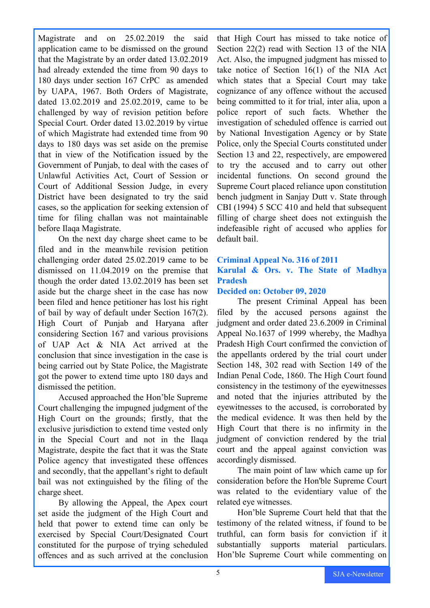Magistrate and on 25.02.2019 the said application came to be dismissed on the ground that the Magistrate by an order dated 13.02.2019 had already extended the time from 90 days to 180 days under section 167 CrPC as amended by UAPA, 1967. Both Orders of Magistrate, dated 13.02.2019 and 25.02.2019, came to be challenged by way of revision petition before Special Court. Order dated 13.02.2019 by virtue of which Magistrate had extended time from 90 days to 180 days was set aside on the premise that in view of the Notification issued by the Government of Punjab, to deal with the cases of Unlawful Activities Act, Court of Session or Court of Additional Session Judge, in every District have been designated to try the said cases, so the application for seeking extension of time for filing challan was not maintainable before Ilaqa Magistrate.

On the next day charge sheet came to be filed and in the meanwhile revision petition challenging order dated 25.02.2019 came to be dismissed on 11.04.2019 on the premise that though the order dated 13.02.2019 has been set aside but the charge sheet in the case has now been filed and hence petitioner has lost his right of bail by way of default under Section 167(2). High Court of Punjab and Haryana after considering Section 167 and various provisions of UAP Act & NIA Act arrived at the conclusion that since investigation in the case is being carried out by State Police, the Magistrate got the power to extend time upto 180 days and dismissed the petition.

Accused approached the Hon'ble Supreme Court challenging the impugned judgment of the High Court on the grounds; firstly, that the exclusive jurisdiction to extend time vested only in the Special Court and not in the Ilaqa Magistrate, despite the fact that it was the State Police agency that investigated these offences and secondly, that the appellant's right to default bail was not extinguished by the filing of the charge sheet.

By allowing the Appeal, the Apex court set aside the judgment of the High Court and held that power to extend time can only be exercised by Special Court/Designated Court constituted for the purpose of trying scheduled offences and as such arrived at the conclusion

that High Court has missed to take notice of Section 22(2) read with Section 13 of the NIA Act. Also, the impugned judgment has missed to take notice of Section 16(1) of the NIA Act which states that a Special Court may take cognizance of any offence without the accused being committed to it for trial, inter alia, upon a police report of such facts. Whether the investigation of scheduled offence is carried out by National Investigation Agency or by State Police, only the Special Courts constituted under Section 13 and 22, respectively, are empowered to try the accused and to carry out other incidental functions. On second ground the Supreme Court placed reliance upon constitution bench judgment in Sanjay Dutt v. State through CBI (1994) 5 SCC 410 and held that subsequent filling of charge sheet does not extinguish the indefeasible right of accused who applies for default bail.

#### **Criminal Appeal No. 316 of 2011 Karulal & Ors. v. The State of Madhya Pradesh**

#### **Decided on: October 09, 2020**

The present Criminal Appeal has been filed by the accused persons against the judgment and order dated 23.6.2009 in Criminal Appeal No.1637 of 1999 whereby, the Madhya Pradesh High Court confirmed the conviction of the appellants ordered by the trial court under Section 148, 302 read with Section 149 of the Indian Penal Code, 1860. The High Court found consistency in the testimony of the eyewitnesses and noted that the injuries attributed by the eyewitnesses to the accused, is corroborated by the medical evidence. It was then held by the High Court that there is no infirmity in the judgment of conviction rendered by the trial court and the appeal against conviction was accordingly dismissed.

The main point of law which came up for consideration before the Hon'ble Supreme Court was related to the evidentiary value of the related eye witnesses.

Hon'ble Supreme Court held that that the testimony of the related witness, if found to be truthful, can form basis for conviction if it substantially supports material particulars. Hon'ble Supreme Court while commenting on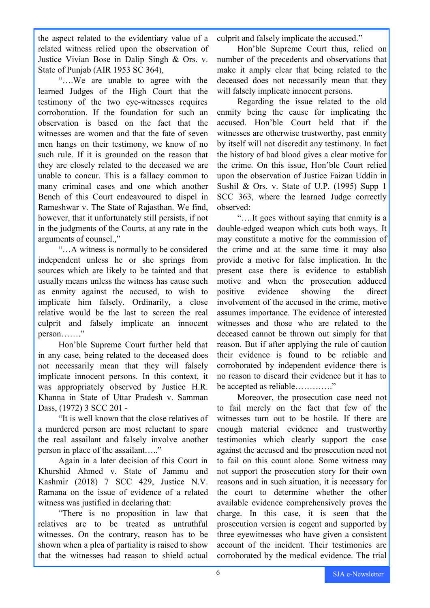the aspect related to the evidentiary value of a related witness relied upon the observation of Justice Vivian Bose in Dalip Singh & Ors. v. State of Punjab (AIR 1953 SC 364),

"….We are unable to agree with the learned Judges of the High Court that the testimony of the two eye-witnesses requires corroboration. If the foundation for such an observation is based on the fact that the witnesses are women and that the fate of seven men hangs on their testimony, we know of no such rule. If it is grounded on the reason that they are closely related to the deceased we are unable to concur. This is a fallacy common to many criminal cases and one which another Bench of this Court endeavoured to dispel in Rameshwar v. The State of Rajasthan. We find, however, that it unfortunately still persists, if not in the judgments of the Courts, at any rate in the arguments of counsel.,"

"…A witness is normally to be considered independent unless he or she springs from sources which are likely to be tainted and that usually means unless the witness has cause such as enmity against the accused, to wish to implicate him falsely. Ordinarily, a close relative would be the last to screen the real culprit and falsely implicate an innocent person……."

Hon'ble Supreme Court further held that in any case, being related to the deceased does not necessarily mean that they will falsely implicate innocent persons. In this context, it was appropriately observed by Justice H.R. Khanna in State of Uttar Pradesh v. Samman Dass, (1972) 3 SCC 201 -

"It is well known that the close relatives of a murdered person are most reluctant to spare the real assailant and falsely involve another person in place of the assailant….."

Again in a later decision of this Court in Khurshid Ahmed v. State of Jammu and Kashmir (2018) 7 SCC 429, Justice N.V. Ramana on the issue of evidence of a related witness was justified in declaring that:

"There is no proposition in law that relatives are to be treated as untruthful witnesses. On the contrary, reason has to be shown when a plea of partiality is raised to show that the witnesses had reason to shield actual

culprit and falsely implicate the accused."

Hon'ble Supreme Court thus, relied on number of the precedents and observations that make it amply clear that being related to the deceased does not necessarily mean that they will falsely implicate innocent persons.

Regarding the issue related to the old enmity being the cause for implicating the accused. Hon'ble Court held that if the witnesses are otherwise trustworthy, past enmity by itself will not discredit any testimony. In fact the history of bad blood gives a clear motive for the crime. On this issue, Hon'ble Court relied upon the observation of Justice Faizan Uddin in Sushil & Ors. v. State of U.P. (1995) Supp 1 SCC 363, where the learned Judge correctly observed:

"….It goes without saying that enmity is a double-edged weapon which cuts both ways. It may constitute a motive for the commission of the crime and at the same time it may also provide a motive for false implication. In the present case there is evidence to establish motive and when the prosecution adduced positive evidence showing the direct involvement of the accused in the crime, motive assumes importance. The evidence of interested witnesses and those who are related to the deceased cannot be thrown out simply for that reason. But if after applying the rule of caution their evidence is found to be reliable and corroborated by independent evidence there is no reason to discard their evidence but it has to be accepted as reliable…………."

Moreover, the prosecution case need not to fail merely on the fact that few of the witnesses turn out to be hostile. If there are enough material evidence and trustworthy testimonies which clearly support the case against the accused and the prosecution need not to fail on this count alone. Some witness may not support the prosecution story for their own reasons and in such situation, it is necessary for the court to determine whether the other available evidence comprehensively proves the charge. In this case, it is seen that the prosecution version is cogent and supported by three eyewitnesses who have given a consistent account of the incident. Their testimonies are corroborated by the medical evidence. The trial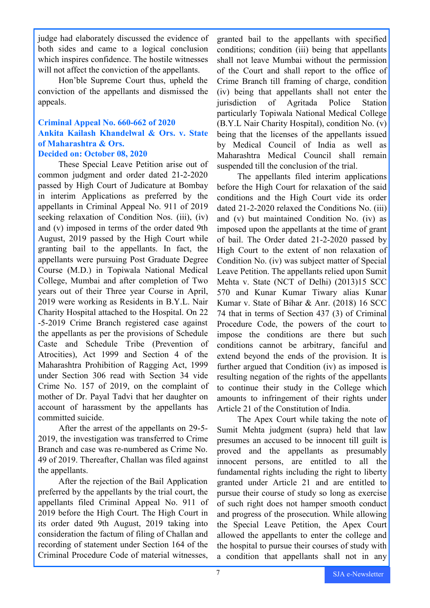judge had elaborately discussed the evidence of both sides and came to a logical conclusion which inspires confidence. The hostile witnesses will not affect the conviction of the appellants.

Hon'ble Supreme Court thus, upheld the conviction of the appellants and dismissed the appeals.

#### **Criminal Appeal No. 660-662 of 2020 Ankita Kailash Khandelwal & Ors. v. State of Maharashtra & Ors. Decided on: October 08, 2020**

These Special Leave Petition arise out of common judgment and order dated 21-2-2020 passed by High Court of Judicature at Bombay in interim Applications as preferred by the appellants in Criminal Appeal No. 911 of 2019 seeking relaxation of Condition Nos. (iii), (iv) and (v) imposed in terms of the order dated 9th August, 2019 passed by the High Court while granting bail to the appellants. In fact, the appellants were pursuing Post Graduate Degree Course (M.D.) in Topiwala National Medical College, Mumbai and after completion of Two years out of their Three year Course in April, 2019 were working as Residents in B.Y.L. Nair Charity Hospital attached to the Hospital. On 22 -5-2019 Crime Branch registered case against the appellants as per the provisions of Schedule Caste and Schedule Tribe (Prevention of Atrocities), Act 1999 and Section 4 of the Maharashtra Prohibition of Ragging Act, 1999 under Section 306 read with Section 34 vide Crime No. 157 of 2019, on the complaint of mother of Dr. Payal Tadvi that her daughter on account of harassment by the appellants has committed suicide.

After the arrest of the appellants on 29-5- 2019, the investigation was transferred to Crime Branch and case was re-numbered as Crime No. 49 of 2019. Thereafter, Challan was filed against the appellants.

After the rejection of the Bail Application preferred by the appellants by the trial court, the appellants filed Criminal Appeal No. 911 of 2019 before the High Court. The High Court in its order dated 9th August, 2019 taking into consideration the factum of filing of Challan and recording of statement under Section 164 of the Criminal Procedure Code of material witnesses,

granted bail to the appellants with specified conditions; condition (iii) being that appellants shall not leave Mumbai without the permission of the Court and shall report to the office of Crime Branch till framing of charge, condition (iv) being that appellants shall not enter the jurisdiction of Agritada Police Station particularly Topiwala National Medical College (B.Y.L Nair Charity Hospital), condition No. (v) being that the licenses of the appellants issued by Medical Council of India as well as Maharashtra Medical Council shall remain suspended till the conclusion of the trial.

The appellants filed interim applications before the High Court for relaxation of the said conditions and the High Court vide its order dated 21-2-2020 relaxed the Conditions No. (iii) and (v) but maintained Condition No. (iv) as imposed upon the appellants at the time of grant of bail. The Order dated 21-2-2020 passed by High Court to the extent of non relaxation of Condition No. (iv) was subject matter of Special Leave Petition. The appellants relied upon Sumit Mehta v. State (NCT of Delhi) (2013)15 SCC 570 and Kunar Kumar Tiwary alias Kunar Kumar v. State of Bihar & Anr. (2018) 16 SCC 74 that in terms of Section 437 (3) of Criminal Procedure Code, the powers of the court to impose the conditions are there but such conditions cannot be arbitrary, fanciful and extend beyond the ends of the provision. It is further argued that Condition (iv) as imposed is resulting negation of the rights of the appellants to continue their study in the College which amounts to infringement of their rights under Article 21 of the Constitution of India.

The Apex Court while taking the note of Sumit Mehta judgment (supra) held that law presumes an accused to be innocent till guilt is proved and the appellants as presumably innocent persons, are entitled to all the fundamental rights including the right to liberty granted under Article 21 and are entitled to pursue their course of study so long as exercise of such right does not hamper smooth conduct and progress of the prosecution. While allowing the Special Leave Petition, the Apex Court allowed the appellants to enter the college and the hospital to pursue their courses of study with a condition that appellants shall not in any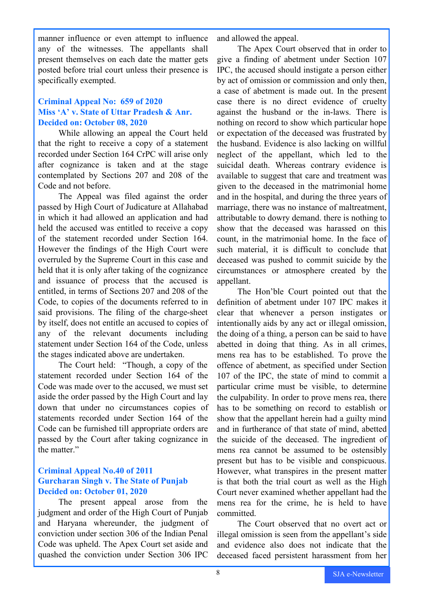manner influence or even attempt to influence any of the witnesses. The appellants shall present themselves on each date the matter gets posted before trial court unless their presence is specifically exempted.

#### **Criminal Appeal No: 659 of 2020 Miss 'A' v. State of Uttar Pradesh & Anr. Decided on: October 08, 2020**

While allowing an appeal the Court held that the right to receive a copy of a statement recorded under Section 164 CrPC will arise only after cognizance is taken and at the stage contemplated by Sections 207 and 208 of the Code and not before.

The Appeal was filed against the order passed by High Court of Judicature at Allahabad in which it had allowed an application and had held the accused was entitled to receive a copy of the statement recorded under Section 164. However the findings of the High Court were overruled by the Supreme Court in this case and held that it is only after taking of the cognizance and issuance of process that the accused is entitled, in terms of Sections 207 and 208 of the Code, to copies of the documents referred to in said provisions. The filing of the charge-sheet by itself, does not entitle an accused to copies of any of the relevant documents including statement under Section 164 of the Code, unless the stages indicated above are undertaken.

The Court held: "Though, a copy of the statement recorded under Section 164 of the Code was made over to the accused, we must set aside the order passed by the High Court and lay down that under no circumstances copies of statements recorded under Section 164 of the Code can be furnished till appropriate orders are passed by the Court after taking cognizance in the matter."

#### **Criminal Appeal No.40 of 2011 Gurcharan Singh v. The State of Punjab Decided on: October 01, 2020**

The present appeal arose from the judgment and order of the High Court of Punjab and Haryana whereunder, the judgment of conviction under section 306 of the Indian Penal Code was upheld. The Apex Court set aside and quashed the conviction under Section 306 IPC

and allowed the appeal.

The Apex Court observed that in order to give a finding of abetment under Section 107 IPC, the accused should instigate a person either by act of omission or commission and only then, a case of abetment is made out. In the present case there is no direct evidence of cruelty against the husband or the in-laws. There is nothing on record to show which particular hope or expectation of the deceased was frustrated by the husband. Evidence is also lacking on willful neglect of the appellant, which led to the suicidal death. Whereas contrary evidence is available to suggest that care and treatment was given to the deceased in the matrimonial home and in the hospital, and during the three years of marriage, there was no instance of maltreatment, attributable to dowry demand. there is nothing to show that the deceased was harassed on this count, in the matrimonial home. In the face of such material, it is difficult to conclude that deceased was pushed to commit suicide by the circumstances or atmosphere created by the appellant.

The Hon'ble Court pointed out that the definition of abetment under 107 IPC makes it clear that whenever a person instigates or intentionally aids by any act or illegal omission, the doing of a thing, a person can be said to have abetted in doing that thing. As in all crimes, mens rea has to be established. To prove the offence of abetment, as specified under Section 107 of the IPC, the state of mind to commit a particular crime must be visible, to determine the culpability. In order to prove mens rea, there has to be something on record to establish or show that the appellant herein had a guilty mind and in furtherance of that state of mind, abetted the suicide of the deceased. The ingredient of mens rea cannot be assumed to be ostensibly present but has to be visible and conspicuous. However, what transpires in the present matter is that both the trial court as well as the High Court never examined whether appellant had the mens rea for the crime, he is held to have committed.

The Court observed that no overt act or illegal omission is seen from the appellant's side and evidence also does not indicate that the deceased faced persistent harassment from her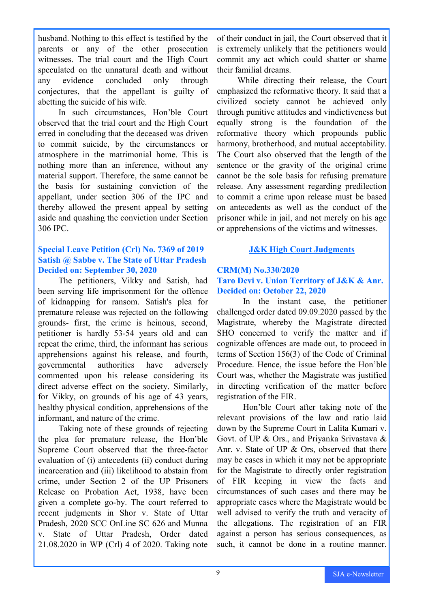husband. Nothing to this effect is testified by the parents or any of the other prosecution witnesses. The trial court and the High Court speculated on the unnatural death and without any evidence concluded only through conjectures, that the appellant is guilty of abetting the suicide of his wife.

In such circumstances, Hon'ble Court observed that the trial court and the High Court erred in concluding that the deceased was driven to commit suicide, by the circumstances or atmosphere in the matrimonial home. This is nothing more than an inference, without any material support. Therefore, the same cannot be the basis for sustaining conviction of the appellant, under section 306 of the IPC and thereby allowed the present appeal by setting aside and quashing the conviction under Section 306 IPC.

#### **Special Leave Petition (Crl) No. 7369 of 2019 Satish @ Sabbe v. The State of Uttar Pradesh Decided on: September 30, 2020**

The petitioners, Vikky and Satish, had been serving life imprisonment for the offence of kidnapping for ransom. Satish's plea for premature release was rejected on the following grounds- first, the crime is heinous, second, petitioner is hardly 53-54 years old and can repeat the crime, third, the informant has serious apprehensions against his release, and fourth, governmental authorities have adversely commented upon his release considering its direct adverse effect on the society. Similarly, for Vikky, on grounds of his age of 43 years, healthy physical condition, apprehensions of the informant, and nature of the crime.

Taking note of these grounds of rejecting the plea for premature release, the Hon'ble Supreme Court observed that the three-factor evaluation of (i) antecedents (ii) conduct during incarceration and (iii) likelihood to abstain from crime, under Section 2 of the UP Prisoners Release on Probation Act, 1938, have been given a complete go-by. The court referred to recent judgments in Shor v. State of Uttar Pradesh, 2020 SCC OnLine SC 626 and Munna v. State of Uttar Pradesh, Order dated 21.08.2020 in WP (Crl) 4 of 2020. Taking note

of their conduct in jail, the Court observed that it is extremely unlikely that the petitioners would commit any act which could shatter or shame their familial dreams.

While directing their release, the Court emphasized the reformative theory. It said that a civilized society cannot be achieved only through punitive attitudes and vindictiveness but equally strong is the foundation of the reformative theory which propounds public harmony, brotherhood, and mutual acceptability. The Court also observed that the length of the sentence or the gravity of the original crime cannot be the sole basis for refusing premature release. Any assessment regarding predilection to commit a crime upon release must be based on antecedents as well as the conduct of the prisoner while in jail, and not merely on his age or apprehensions of the victims and witnesses.

#### **J&K High Court Judgments**

#### **CRM(M) No.330/2020 Taro Devi v. Union Territory of J&K & Anr. Decided on: October 22, 2020**

In the instant case, the petitioner challenged order dated 09.09.2020 passed by the Magistrate, whereby the Magistrate directed SHO concerned to verify the matter and if cognizable offences are made out, to proceed in terms of Section 156(3) of the Code of Criminal Procedure. Hence, the issue before the Hon'ble Court was, whether the Magistrate was justified in directing verification of the matter before registration of the FIR.

Hon'ble Court after taking note of the relevant provisions of the law and ratio laid down by the Supreme Court in Lalita Kumari v. Govt. of UP & Ors., and Priyanka Srivastava & Anr. v. State of UP & Ors, observed that there may be cases in which it may not be appropriate for the Magistrate to directly order registration of FIR keeping in view the facts and circumstances of such cases and there may be appropriate cases where the Magistrate would be well advised to verify the truth and veracity of the allegations. The registration of an FIR against a person has serious consequences, as such, it cannot be done in a routine manner.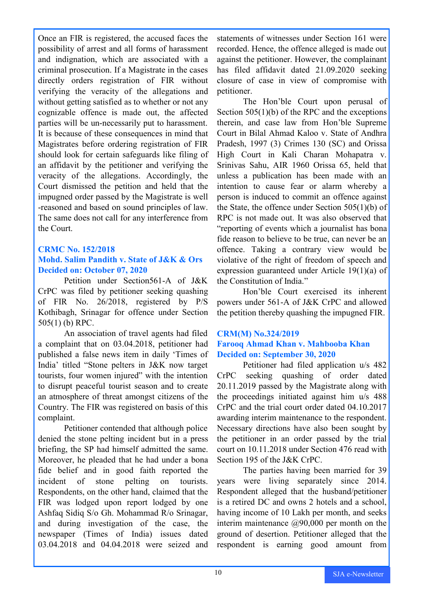Once an FIR is registered, the accused faces the possibility of arrest and all forms of harassment and indignation, which are associated with a criminal prosecution. If a Magistrate in the cases directly orders registration of FIR without verifying the veracity of the allegations and without getting satisfied as to whether or not any cognizable offence is made out, the affected parties will be un-necessarily put to harassment. It is because of these consequences in mind that Magistrates before ordering registration of FIR should look for certain safeguards like filing of an affidavit by the petitioner and verifying the veracity of the allegations. Accordingly, the Court dismissed the petition and held that the impugned order passed by the Magistrate is well -reasoned and based on sound principles of law. The same does not call for any interference from the Court.

#### **CRMC No. 152/2018**

#### **Mohd. Salim Pandith v. State of J&K & Ors Decided on: October 07, 2020**

Petition under Section561-A of J&K CrPC was filed by petitioner seeking quashing of FIR No. 26/2018, registered by P/S Kothibagh, Srinagar for offence under Section 505(1) (b) RPC.

An association of travel agents had filed a complaint that on 03.04.2018, petitioner had published a false news item in daily 'Times of India' titled "Stone pelters in J&K now target tourists, four women injured" with the intention to disrupt peaceful tourist season and to create an atmosphere of threat amongst citizens of the Country. The FIR was registered on basis of this complaint.

Petitioner contended that although police denied the stone pelting incident but in a press briefing, the SP had himself admitted the same. Moreover, he pleaded that he had under a bona fide belief and in good faith reported the incident of stone pelting on tourists. Respondents, on the other hand, claimed that the FIR was lodged upon report lodged by one Ashfaq Sidiq S/o Gh. Mohammad R/o Srinagar, and during investigation of the case, the newspaper (Times of India) issues dated 03.04.2018 and 04.04.2018 were seized and

statements of witnesses under Section 161 were recorded. Hence, the offence alleged is made out against the petitioner. However, the complainant has filed affidavit dated 21.09.2020 seeking closure of case in view of compromise with petitioner.

The Hon'ble Court upon perusal of Section 505(1)(b) of the RPC and the exceptions therein, and case law from Hon'ble Supreme Court in Bilal Ahmad Kaloo v. State of Andhra Pradesh, 1997 (3) Crimes 130 (SC) and Orissa High Court in Kali Charan Mohapatra v. Srinivas Sahu, AIR 1960 Orissa 65, held that unless a publication has been made with an intention to cause fear or alarm whereby a person is induced to commit an offence against the State, the offence under Section 505(1)(b) of RPC is not made out. It was also observed that "reporting of events which a journalist has bona fide reason to believe to be true, can never be an offence. Taking a contrary view would be violative of the right of freedom of speech and expression guaranteed under Article 19(1)(a) of the Constitution of India."

Hon'ble Court exercised its inherent powers under 561-A of J&K CrPC and allowed the petition thereby quashing the impugned FIR.

#### **CRM(M) No.324/2019 Farooq Ahmad Khan v. Mahbooba Khan Decided on: September 30, 2020**

Petitioner had filed application u/s 482 CrPC seeking quashing of order dated 20.11.2019 passed by the Magistrate along with the proceedings initiated against him u/s 488 CrPC and the trial court order dated 04.10.2017 awarding interim maintenance to the respondent. Necessary directions have also been sought by the petitioner in an order passed by the trial court on 10.11.2018 under Section 476 read with Section 195 of the J&K CrPC.

The parties having been married for 39 years were living separately since 2014. Respondent alleged that the husband/petitioner is a retired DC and owns 2 hotels and a school, having income of 10 Lakh per month, and seeks interim maintenance  $(290,000)$  per month on the ground of desertion. Petitioner alleged that the respondent is earning good amount from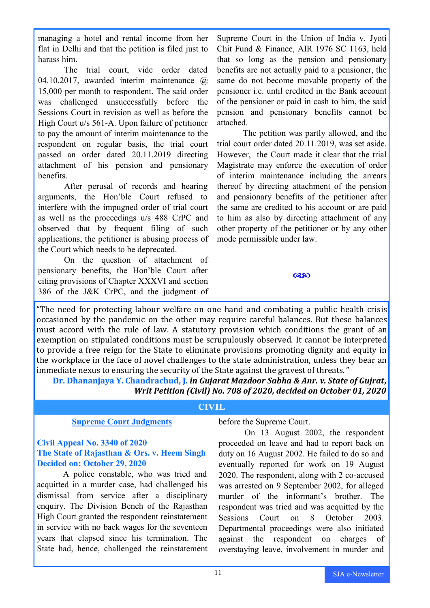managing a hotel and rental income from her flat in Delhi and that the petition is filed just to harass him.

The trial court, vide order dated 04.10.2017, awarded interim maintenance @ 15,000 per month to respondent. The said order was challenged unsuccessfully before the Sessions Court in revision as well as before the High Court u/s 561-A. Upon failure of petitioner to pay the amount of interim maintenance to the respondent on regular basis, the trial court passed an order dated 20.11.2019 directing attachment of his pension and pensionary benefits.

After perusal of records and hearing arguments, the Hon'ble Court refused to interfere with the impugned order of trial court as well as the proceedings u/s 488 CrPC and observed that by frequent filing of such applications, the petitioner is abusing process of the Court which needs to be deprecated.

On the question of attachment of pensionary benefits, the Hon'ble Court after citing provisions of Chapter XXXVI and section 386 of the J&K CrPC, and the judgment of

Supreme Court in the Union of India v. Jyoti Chit Fund & Finance, AIR 1976 SC 1163, held that so long as the pension and pensionary benefits are not actually paid to a pensioner, the same do not become movable property of the pensioner i.e. until credited in the Bank account of the pensioner or paid in cash to him, the said pension and pensionary benefits cannot be attached.

The petition was partly allowed, and the trial court order dated 20.11.2019, was set aside. However, the Court made it clear that the trial Magistrate may enforce the execution of order of interim maintenance including the arrears thereof by directing attachment of the pension and pensionary benefits of the petitioner after the same are credited to his account or are paid to him as also by directing attachment of any other property of the petitioner or by any other mode permissible under law.

 $\alpha$ so

"The need for protecting labour welfare on one hand and combating a public health crisis occasioned by the pandemic on the other may require careful balances. But these balances must accord with the rule of law. A statutory provision which conditions the grant of an exemption on stipulated conditions must be scrupulously observed. It cannot be interpreted to provide a free reign for the State to eliminate provisions promoting dignity and equity in the workplace in the face of novel challenges to the state administration, unless they bear an immediate nexus to ensuring the security of the State against the gravest of threats. "

**Dr. Dhananjaya Y. Chandrachud, J.** *in Gujarat Mazdoor Sabha & Anr. v. State of Gujrat***,**  *Writ Petition (Civil) No. 708 of 2020, decided on October 01, 2020* 

#### **CIVIL**

#### **Supreme Court Judgments**

#### **Civil Appeal No. 3340 of 2020 The State of Rajasthan & Ors. v. Heem Singh Decided on: October 29, 2020**

A police constable, who was tried and acquitted in a murder case, had challenged his dismissal from service after a disciplinary enquiry. The Division Bench of the Rajasthan High Court granted the respondent reinstatement in service with no back wages for the seventeen years that elapsed since his termination. The State had, hence, challenged the reinstatement

before the Supreme Court.

On 13 August 2002, the respondent proceeded on leave and had to report back on duty on 16 August 2002. He failed to do so and eventually reported for work on 19 August 2020. The respondent, along with 2 co-accused was arrested on 9 September 2002, for alleged murder of the informant's brother. The respondent was tried and was acquitted by the Sessions Court on 8 October 2003. Departmental proceedings were also initiated against the respondent on charges of overstaying leave, involvement in murder and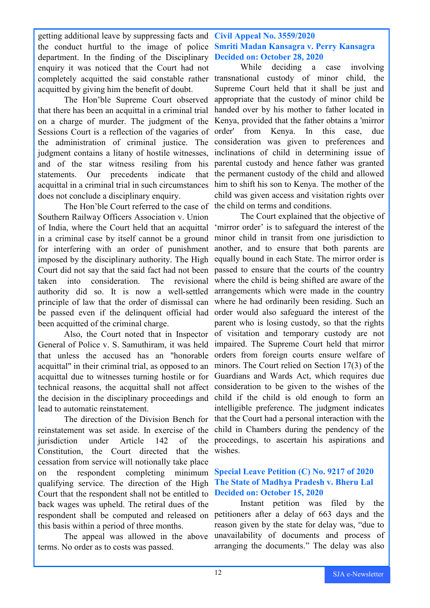getting additional leave by suppressing facts and **Civil Appeal No. 3559/2020** the conduct hurtful to the image of police **Smriti Madan Kansagra v. Perry Kansagra** department. In the finding of the Disciplinary **Decided on: October 28, 2020** enquiry it was noticed that the Court had not completely acquitted the said constable rather transnational custody of minor child, the acquitted by giving him the benefit of doubt.

The Hon'ble Supreme Court observed that there has been an acquittal in a criminal trial on a charge of murder. The judgment of the Sessions Court is a reflection of the vagaries of the administration of criminal justice. The judgment contains a litany of hostile witnesses, and of the star witness resiling from his statements. Our precedents indicate that acquittal in a criminal trial in such circumstances does not conclude a disciplinary enquiry.

The Hon'ble Court referred to the case of Southern Railway Officers Association v. Union of India, where the Court held that an acquittal in a criminal case by itself cannot be a ground for interfering with an order of punishment imposed by the disciplinary authority. The High Court did not say that the said fact had not been taken into consideration. The revisional authority did so. It is now a well-settled principle of law that the order of dismissal can be passed even if the delinquent official had order would also safeguard the interest of the been acquitted of the criminal charge.

Also, the Court noted that in Inspector General of Police v. S. Samuthiram, it was held impaired. The Supreme Court held that mirror that unless the accused has an "honorable orders from foreign courts ensure welfare of acquittal" in their criminal trial, as opposed to an minors. The Court relied on Section 17(3) of the acquittal due to witnesses turning hostile or for Guardians and Wards Act, which requires due technical reasons, the acquittal shall not affect consideration to be given to the wishes of the the decision in the disciplinary proceedings and child if the child is old enough to form an lead to automatic reinstatement.

reinstatement was set aside. In exercise of the child in Chambers during the pendency of the jurisdiction under Article 142 of Constitution, the Court directed cessation from service will notionally take place on the respondent completing minimum qualifying service. The direction of the High Court that the respondent shall not be entitled to back wages was upheld. The retiral dues of the respondent shall be computed and released on petitioners after a delay of 663 days and the this basis within a period of three months. that the wishes.

The appeal was allowed in the above terms. No order as to costs was passed.

While deciding a case involving Supreme Court held that it shall be just and appropriate that the custody of minor child be handed over by his mother to father located in Kenya, provided that the father obtains a 'mirror order' from Kenya. In this case, due consideration was given to preferences and inclinations of child in determining issue of parental custody and hence father was granted the permanent custody of the child and allowed him to shift his son to Kenya. The mother of the child was given access and visitation rights over the child on terms and conditions.

The direction of the Division Bench for that the Court had a personal interaction with the The Court explained that the objective of 'mirror order' is to safeguard the interest of the minor child in transit from one jurisdiction to another, and to ensure that both parents are equally bound in each State. The mirror order is passed to ensure that the courts of the country where the child is being shifted are aware of the arrangements which were made in the country where he had ordinarily been residing. Such an parent who is losing custody, so that the rights of visitation and temporary custody are not intelligible preference. The judgment indicates proceedings, to ascertain his aspirations and

#### **Special Leave Petition (C) No. 9217 of 2020 The State of Madhya Pradesh v. Bheru Lal Decided on: October 15, 2020**

Instant petition was filed by the reason given by the state for delay was, "due to unavailability of documents and process of arranging the documents." The delay was also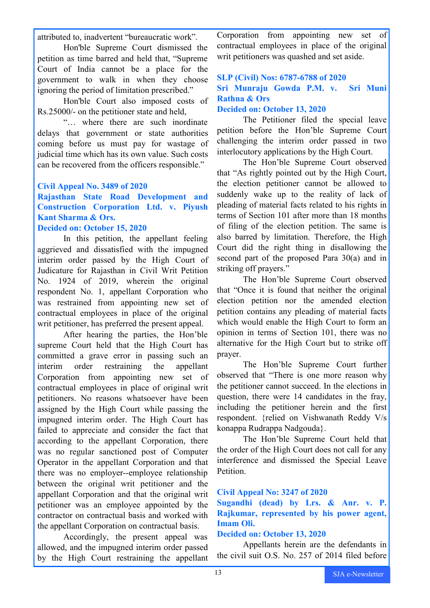attributed to, inadvertent "bureaucratic work".

Hon'ble Supreme Court dismissed the petition as time barred and held that, "Supreme Court of India cannot be a place for the government to walk in when they choose ignoring the period of limitation prescribed."

Hon'ble Court also imposed costs of Rs.25000/- on the petitioner state and held,

"… where there are such inordinate delays that government or state authorities coming before us must pay for wastage of judicial time which has its own value. Such costs can be recovered from the officers responsible."

#### **Civil Appeal No. 3489 of 2020**

**Rajasthan State Road Development and Construction Corporation Ltd. v. Piyush Kant Sharma & Ors.** 

#### **Decided on: October 15, 2020**

In this petition, the appellant feeling aggrieved and dissatisfied with the impugned interim order passed by the High Court of Judicature for Rajasthan in Civil Writ Petition No. 1924 of 2019, wherein the original respondent No. 1, appellant Corporation who was restrained from appointing new set of contractual employees in place of the original writ petitioner, has preferred the present appeal.

After hearing the parties, the Hon'ble supreme Court held that the High Court has committed a grave error in passing such an interim order restraining the appellant Corporation from appointing new set of contractual employees in place of original writ petitioners. No reasons whatsoever have been assigned by the High Court while passing the impugned interim order. The High Court has failed to appreciate and consider the fact that according to the appellant Corporation, there was no regular sanctioned post of Computer Operator in the appellant Corporation and that there was no employer-employee relationship between the original writ petitioner and the appellant Corporation and that the original writ petitioner was an employee appointed by the contractor on contractual basis and worked with the appellant Corporation on contractual basis.

Accordingly, the present appeal was allowed, and the impugned interim order passed by the High Court restraining the appellant Corporation from appointing new set of contractual employees in place of the original writ petitioners was quashed and set aside.

#### **SLP (Civil) Nos: 6787-6788 of 2020 Sri Munraju Gowda P.M. v. Sri Muni Rathna & Ors**

#### **Decided on: October 13, 2020**

The Petitioner filed the special leave petition before the Hon'ble Supreme Court challenging the interim order passed in two interlocutory applications by the High Court.

The Hon'ble Supreme Court observed that "As rightly pointed out by the High Court, the election petitioner cannot be allowed to suddenly wake up to the reality of lack of pleading of material facts related to his rights in terms of Section 101 after more than 18 months of filing of the election petition. The same is also barred by limitation. Therefore, the High Court did the right thing in disallowing the second part of the proposed Para 30(a) and in striking off prayers."

The Hon'ble Supreme Court observed that "Once it is found that neither the original election petition nor the amended election petition contains any pleading of material facts which would enable the High Court to form an opinion in terms of Section 101, there was no alternative for the High Court but to strike off prayer.

The Hon'ble Supreme Court further observed that "There is one more reason why the petitioner cannot succeed. In the elections in question, there were 14 candidates in the fray, including the petitioner herein and the first respondent. {relied on Vishwanath Reddy V/s konappa Rudrappa Nadgouda}.

The Hon'ble Supreme Court held that the order of the High Court does not call for any interference and dismissed the Special Leave Petition.

#### **Civil Appeal No: 3247 of 2020**

#### **Sugandhi (dead) by Lrs. & Anr. v. P. Rajkumar, represented by his power agent, Imam Oli.**

#### **Decided on: October 13, 2020**

Appellants herein are the defendants in the civil suit O.S. No. 257 of 2014 filed before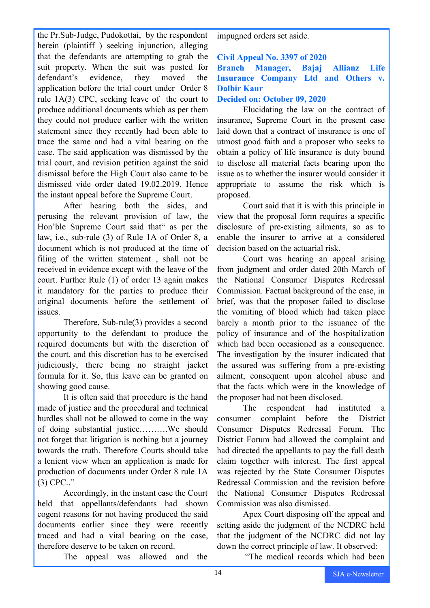the Pr.Sub-Judge, Pudokottai, by the respondent herein (plaintiff) seeking injunction, alleging that the defendants are attempting to grab the suit property. When the suit was posted for defendant's evidence, they moved the application before the trial court under Order 8 rule 1A(3) CPC, seeking leave of the court to produce additional documents which as per them they could not produce earlier with the written statement since they recently had been able to trace the same and had a vital bearing on the case. The said application was dismissed by the trial court, and revision petition against the said dismissal before the High Court also came to be dismissed vide order dated 19.02.2019. Hence the instant appeal before the Supreme Court.

After hearing both the sides, and perusing the relevant provision of law, the Hon'ble Supreme Court said that" as per the law, i.e., sub-rule (3) of Rule 1A of Order 8, a document which is not produced at the time of filing of the written statement , shall not be received in evidence except with the leave of the court. Further Rule (1) of order 13 again makes it mandatory for the parties to produce their original documents before the settlement of issues.

Therefore, Sub-rule(3) provides a second opportunity to the defendant to produce the required documents but with the discretion of the court, and this discretion has to be exercised judiciously, there being no straight jacket formula for it. So, this leave can be granted on showing good cause.

It is often said that procedure is the hand made of justice and the procedural and technical hurdles shall not be allowed to come in the way of doing substantial justice……….We should not forget that litigation is nothing but a journey towards the truth. Therefore Courts should take a lenient view when an application is made for production of documents under Order 8 rule 1A (3) CPC.."

Accordingly, in the instant case the Court held that appellants/defendants had shown cogent reasons for not having produced the said documents earlier since they were recently traced and had a vital bearing on the case, therefore deserve to be taken on record.

The appeal was allowed and the

impugned orders set aside.

#### **Civil Appeal No. 3397 of 2020**

**Branch Manager, Bajaj Allianz Life Insurance Company Ltd and Others v. Dalbir Kaur**

#### **Decided on: October 09, 2020**

Elucidating the law on the contract of insurance, Supreme Court in the present case laid down that a contract of insurance is one of utmost good faith and a proposer who seeks to obtain a policy of life insurance is duty bound to disclose all material facts bearing upon the issue as to whether the insurer would consider it appropriate to assume the risk which is proposed.

Court said that it is with this principle in view that the proposal form requires a specific disclosure of pre-existing ailments, so as to enable the insurer to arrive at a considered decision based on the actuarial risk.

Court was hearing an appeal arising from judgment and order dated 20th March of the National Consumer Disputes Redressal Commission. Factual background of the case, in brief, was that the proposer failed to disclose the vomiting of blood which had taken place barely a month prior to the issuance of the policy of insurance and of the hospitalization which had been occasioned as a consequence. The investigation by the insurer indicated that the assured was suffering from a pre-existing ailment, consequent upon alcohol abuse and that the facts which were in the knowledge of the proposer had not been disclosed.

The respondent had instituted a consumer complaint before the District Consumer Disputes Redressal Forum. The District Forum had allowed the complaint and had directed the appellants to pay the full death claim together with interest. The first appeal was rejected by the State Consumer Disputes Redressal Commission and the revision before the National Consumer Disputes Redressal Commission was also dismissed.

Apex Court disposing off the appeal and setting aside the judgment of the NCDRC held that the judgment of the NCDRC did not lay down the correct principle of law. It observed:

"The medical records which had been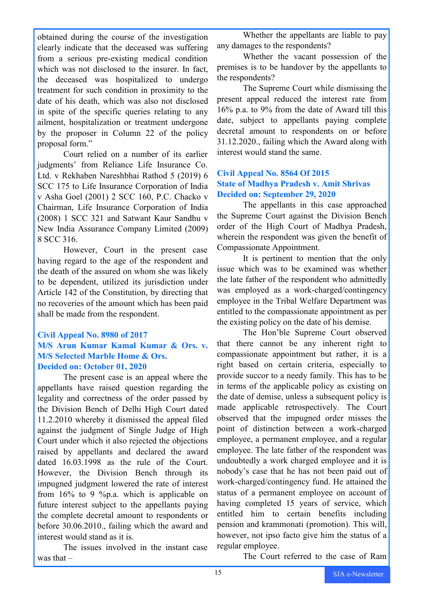obtained during the course of the investigation clearly indicate that the deceased was suffering from a serious pre-existing medical condition which was not disclosed to the insurer. In fact, the deceased was hospitalized to undergo treatment for such condition in proximity to the date of his death, which was also not disclosed in spite of the specific queries relating to any ailment, hospitalization or treatment undergone by the proposer in Column 22 of the policy proposal form."

Court relied on a number of its earlier judgments' from Reliance Life Insurance Co. Ltd. v Rekhaben Nareshbhai Rathod 5 (2019) 6 SCC 175 to Life Insurance Corporation of India v Asha Goel (2001) 2 SCC 160, P.C. Chacko v Chairman, Life Insurance Corporation of India (2008) 1 SCC 321 and Satwant Kaur Sandhu v New India Assurance Company Limited (2009) 8 SCC 316.

However, Court in the present case having regard to the age of the respondent and the death of the assured on whom she was likely to be dependent, utilized its jurisdiction under Article 142 of the Constitution, by directing that no recoveries of the amount which has been paid shall be made from the respondent.

#### **Civil Appeal No. 8980 of 2017 M/S Arun Kumar Kamal Kumar & Ors. v. M/S Selected Marble Home & Ors. Decided on: October 01, 2020**

The present case is an appeal where the appellants have raised question regarding the legality and correctness of the order passed by the Division Bench of Delhi High Court dated 11.2.2010 whereby it dismissed the appeal filed against the judgment of Single Judge of High Court under which it also rejected the objections raised by appellants and declared the award dated 16.03.1998 as the rule of the Court. However, the Division Bench through its impugned judgment lowered the rate of interest from 16% to 9 %p.a. which is applicable on future interest subject to the appellants paying the complete decretal amount to respondents or before 30.06.2010., failing which the award and interest would stand as it is.

The issues involved in the instant case was that –

Whether the appellants are liable to pay any damages to the respondents?

Whether the vacant possession of the premises is to be handover by the appellants to the respondents?

The Supreme Court while dismissing the present appeal reduced the interest rate from 16% p.a. to 9% from the date of Award till this date, subject to appellants paying complete decretal amount to respondents on or before 31.12.2020., failing which the Award along with interest would stand the same.

#### **Civil Appeal No. 8564 Of 2015 State of Madhya Pradesh v. Amit Shrivas Decided on: September 29, 2020**

The appellants in this case approached the Supreme Court against the Division Bench order of the High Court of Madhya Pradesh, wherein the respondent was given the benefit of Compassionate Appointment.

It is pertinent to mention that the only issue which was to be examined was whether the late father of the respondent who admittedly was employed as a work-charged/contingency employee in the Tribal Welfare Department was entitled to the compassionate appointment as per the existing policy on the date of his demise.

The Hon'ble Supreme Court observed that there cannot be any inherent right to compassionate appointment but rather, it is a right based on certain criteria, especially to provide succor to a needy family. This has to be in terms of the applicable policy as existing on the date of demise, unless a subsequent policy is made applicable retrospectively. The Court observed that the impugned order misses the point of distinction between a work-charged employee, a permanent employee, and a regular employee. The late father of the respondent was undoubtedly a work charged employee and it is nobody's case that he has not been paid out of work-charged/contingency fund. He attained the status of a permanent employee on account of having completed 15 years of service, which entitled him to certain benefits including pension and krammonati (promotion). This will, however, not ipso facto give him the status of a regular employee.

The Court referred to the case of Ram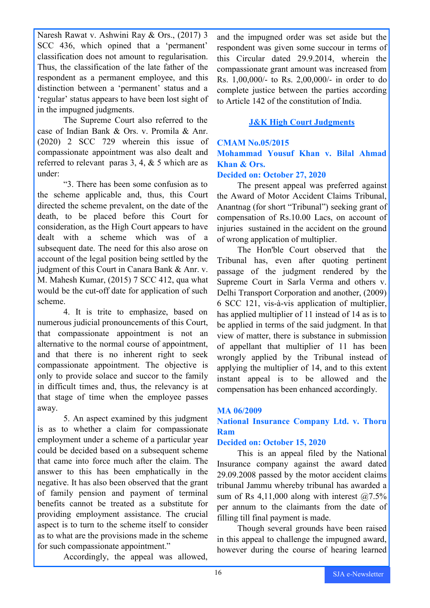Naresh Rawat v. Ashwini Ray & Ors., (2017) 3 SCC 436, which opined that a 'permanent' classification does not amount to regularisation. Thus, the classification of the late father of the respondent as a permanent employee, and this distinction between a 'permanent' status and a 'regular' status appears to have been lost sight of in the impugned judgments.

The Supreme Court also referred to the case of Indian Bank & Ors. v. Promila & Anr. (2020) 2 SCC 729 wherein this issue of compassionate appointment was also dealt and referred to relevant paras 3, 4, & 5 which are as under:

"3. There has been some confusion as to the scheme applicable and, thus, this Court directed the scheme prevalent, on the date of the death, to be placed before this Court for consideration, as the High Court appears to have dealt with a scheme which was of a subsequent date. The need for this also arose on account of the legal position being settled by the judgment of this Court in Canara Bank & Anr. v. M. Mahesh Kumar, (2015) 7 SCC 412, qua what would be the cut-off date for application of such scheme.

4. It is trite to emphasize, based on numerous judicial pronouncements of this Court, that compassionate appointment is not an alternative to the normal course of appointment, and that there is no inherent right to seek compassionate appointment. The objective is only to provide solace and succor to the family in difficult times and, thus, the relevancy is at that stage of time when the employee passes away.

5. An aspect examined by this judgment is as to whether a claim for compassionate employment under a scheme of a particular year could be decided based on a subsequent scheme that came into force much after the claim. The answer to this has been emphatically in the negative. It has also been observed that the grant of family pension and payment of terminal benefits cannot be treated as a substitute for providing employment assistance. The crucial aspect is to turn to the scheme itself to consider as to what are the provisions made in the scheme for such compassionate appointment."

Accordingly, the appeal was allowed,

and the impugned order was set aside but the respondent was given some succour in terms of this Circular dated 29.9.2014, wherein the compassionate grant amount was increased from Rs. 1,00,000/- to Rs. 2,00,000/- in order to do complete justice between the parties according to Article 142 of the constitution of India.

#### **J&K High Court Judgments**

### **CMAM No.05/2015 Mohammad Yousuf Khan v. Bilal Ahmad Khan & Ors.**

#### **Decided on: October 27, 2020**

The present appeal was preferred against the Award of Motor Accident Claims Tribunal, Anantnag (for short "Tribunal") seeking grant of compensation of Rs.10.00 Lacs, on account of injuries sustained in the accident on the ground of wrong application of multiplier.

The Hon'ble Court observed that the Tribunal has, even after quoting pertinent passage of the judgment rendered by the Supreme Court in Sarla Verma and others v. Delhi Transport Corporation and another, (2009) 6 SCC 121, vis-à-vis application of multiplier, has applied multiplier of 11 instead of 14 as is to be applied in terms of the said judgment. In that view of matter, there is substance in submission of appellant that multiplier of 11 has been wrongly applied by the Tribunal instead of applying the multiplier of 14, and to this extent instant appeal is to be allowed and the compensation has been enhanced accordingly.

#### **MA 06/2009**

#### **National Insurance Company Ltd. v. Thoru Ram**

#### **Decided on: October 15, 2020**

This is an appeal filed by the National Insurance company against the award dated 29.09.2008 passed by the motor accident claims tribunal Jammu whereby tribunal has awarded a sum of Rs 4,11,000 along with interest  $(2.5\%$ per annum to the claimants from the date of filling till final payment is made.

Though several grounds have been raised in this appeal to challenge the impugned award, however during the course of hearing learned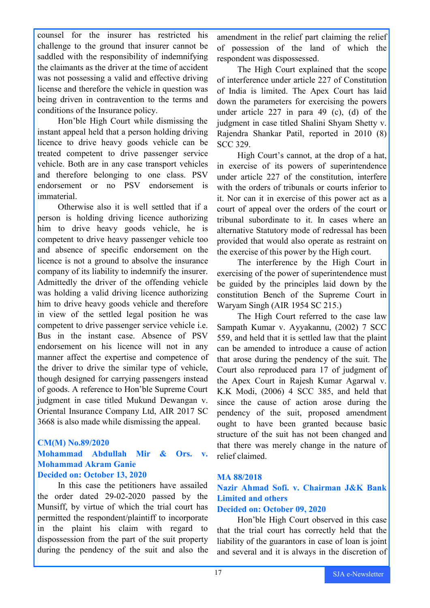counsel for the insurer has restricted his challenge to the ground that insurer cannot be saddled with the responsibility of indemnifying the claimants as the driver at the time of accident was not possessing a valid and effective driving license and therefore the vehicle in question was being driven in contravention to the terms and conditions of the Insurance policy.

Hon'ble High Court while dismissing the instant appeal held that a person holding driving licence to drive heavy goods vehicle can be treated competent to drive passenger service vehicle. Both are in any case transport vehicles and therefore belonging to one class. PSV endorsement or no PSV endorsement is immaterial.

Otherwise also it is well settled that if a person is holding driving licence authorizing him to drive heavy goods vehicle, he is competent to drive heavy passenger vehicle too and absence of specific endorsement on the licence is not a ground to absolve the insurance company of its liability to indemnify the insurer. Admittedly the driver of the offending vehicle was holding a valid driving licence authorizing him to drive heavy goods vehicle and therefore in view of the settled legal position he was competent to drive passenger service vehicle i.e. Bus in the instant case. Absence of PSV endorsement on his licence will not in any manner affect the expertise and competence of the driver to drive the similar type of vehicle, though designed for carrying passengers instead of goods. A reference to Hon'ble Supreme Court judgment in case titled Mukund Dewangan v. Oriental Insurance Company Ltd, AIR 2017 SC 3668 is also made while dismissing the appeal.

#### **CM(M) No.89/2020**

#### **Mohammad Abdullah Mir & Ors. v. Mohammad Akram Ganie Decided on: October 13, 2020**

In this case the petitioners have assailed the order dated 29-02-2020 passed by the Munsiff, by virtue of which the trial court has permitted the respondent/plaintiff to incorporate in the plaint his claim with regard to dispossession from the part of the suit property during the pendency of the suit and also the

amendment in the relief part claiming the relief of possession of the land of which the respondent was dispossessed.

The High Court explained that the scope of interference under article 227 of Constitution of India is limited. The Apex Court has laid down the parameters for exercising the powers under article 227 in para 49 (c), (d) of the judgment in case titled Shalini Shyam Shetty v. Rajendra Shankar Patil, reported in 2010 (8) SCC 329.

High Court's cannot, at the drop of a hat, in exercise of its powers of superintendence under article 227 of the constitution, interfere with the orders of tribunals or courts inferior to it. Nor can it in exercise of this power act as a court of appeal over the orders of the court or tribunal subordinate to it. In cases where an alternative Statutory mode of redressal has been provided that would also operate as restraint on the exercise of this power by the High court.

The interference by the High Court in exercising of the power of superintendence must be guided by the principles laid down by the constitution Bench of the Supreme Court in Waryam Singh (AIR 1954 SC 215.)

The High Court referred to the case law Sampath Kumar v. Ayyakannu, (2002) 7 SCC 559, and held that it is settled law that the plaint can be amended to introduce a cause of action that arose during the pendency of the suit. The Court also reproduced para 17 of judgment of the Apex Court in Rajesh Kumar Agarwal v. K.K Modi, (2006) 4 SCC 385, and held that since the cause of action arose during the pendency of the suit, proposed amendment ought to have been granted because basic structure of the suit has not been changed and that there was merely change in the nature of relief claimed.

#### **MA 88/2018**

#### **Nazir Ahmad Sofi. v. Chairman J&K Bank Limited and others Decided on: October 09, 2020**

Hon'ble High Court observed in this case that the trial court has correctly held that the liability of the guarantors in case of loan is joint and several and it is always in the discretion of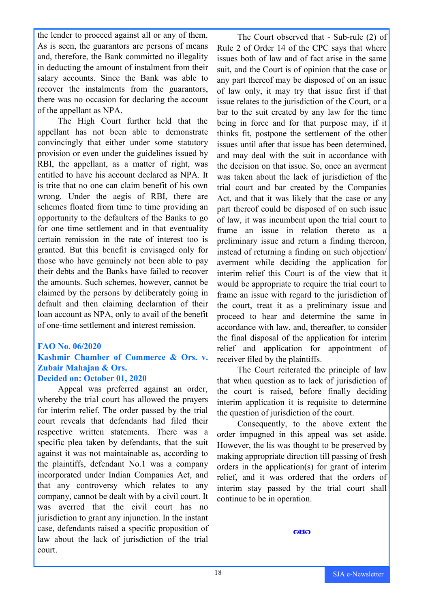the lender to proceed against all or any of them. As is seen, the guarantors are persons of means and, therefore, the Bank committed no illegality in deducting the amount of instalment from their salary accounts. Since the Bank was able to recover the instalments from the guarantors, there was no occasion for declaring the account of the appellant as NPA.

The High Court further held that the appellant has not been able to demonstrate convincingly that either under some statutory provision or even under the guidelines issued by RBI, the appellant, as a matter of right, was entitled to have his account declared as NPA. It is trite that no one can claim benefit of his own wrong. Under the aegis of RBI, there are schemes floated from time to time providing an opportunity to the defaulters of the Banks to go for one time settlement and in that eventuality certain remission in the rate of interest too is granted. But this benefit is envisaged only for those who have genuinely not been able to pay their debts and the Banks have failed to recover the amounts. Such schemes, however, cannot be claimed by the persons by deliberately going in default and then claiming declaration of their loan account as NPA, only to avail of the benefit of one-time settlement and interest remission.

#### **FAO No. 06/2020**

#### **Kashmir Chamber of Commerce & Ors. v. Zubair Mahajan & Ors. Decided on: October 01, 2020**

Appeal was preferred against an order, whereby the trial court has allowed the prayers for interim relief. The order passed by the trial court reveals that defendants had filed their respective written statements. There was a specific plea taken by defendants, that the suit against it was not maintainable as, according to the plaintiffs, defendant No.1 was a company incorporated under Indian Companies Act, and that any controversy which relates to any company, cannot be dealt with by a civil court. It was averred that the civil court has no jurisdiction to grant any injunction. In the instant case, defendants raised a specific proposition of law about the lack of jurisdiction of the trial court.

The Court observed that - Sub-rule (2) of Rule 2 of Order 14 of the CPC says that where issues both of law and of fact arise in the same suit, and the Court is of opinion that the case or any part thereof may be disposed of on an issue of law only, it may try that issue first if that issue relates to the jurisdiction of the Court, or a bar to the suit created by any law for the time being in force and for that purpose may, if it thinks fit, postpone the settlement of the other issues until after that issue has been determined, and may deal with the suit in accordance with the decision on that issue. So, once an averment was taken about the lack of jurisdiction of the trial court and bar created by the Companies Act, and that it was likely that the case or any part thereof could be disposed of on such issue of law, it was incumbent upon the trial court to frame an issue in relation thereto as a preliminary issue and return a finding thereon, instead of returning a finding on such objection/ averment while deciding the application for interim relief this Court is of the view that it would be appropriate to require the trial court to frame an issue with regard to the jurisdiction of the court, treat it as a preliminary issue and proceed to hear and determine the same in accordance with law, and, thereafter, to consider the final disposal of the application for interim relief and application for appointment of receiver filed by the plaintiffs.

The Court reiterated the principle of law that when question as to lack of jurisdiction of the court is raised, before finally deciding interim application it is requisite to determine the question of jurisdiction of the court.

Consequently, to the above extent the order impugned in this appeal was set aside. However, the lis was thought to be preserved by making appropriate direction till passing of fresh orders in the application(s) for grant of interim relief, and it was ordered that the orders of interim stay passed by the trial court shall continue to be in operation.

 $\alpha$  so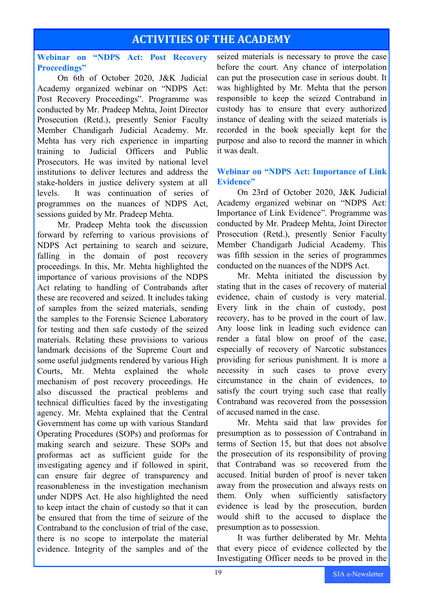# **ACTIVITIES OF THE ACADEMY**

#### **Webinar on "NDPS Act: Post Recovery Proceedings"**

On 6th of October 2020, J&K Judicial Academy organized webinar on "NDPS Act: Post Recovery Proceedings". Programme was conducted by Mr. Pradeep Mehta, Joint Director Prosecution (Retd.), presently Senior Faculty Member Chandigarh Judicial Academy. Mr. Mehta has very rich experience in imparting training to Judicial Officers and Public Prosecutors. He was invited by national level institutions to deliver lectures and address the stake-holders in justice delivery system at all levels. It was continuation of series of programmes on the nuances of NDPS Act, sessions guided by Mr. Pradeep Mehta.

Mr. Pradeep Mehta took the discussion forward by referring to various provisions of NDPS Act pertaining to search and seizure, falling in the domain of post recovery proceedings. In this, Mr. Mehta highlighted the importance of various provisions of the NDPS Act relating to handling of Contrabands after these are recovered and seized. It includes taking of samples from the seized materials, sending the samples to the Forensic Science Laboratory for testing and then safe custody of the seized materials. Relating these provisions to various landmark decisions of the Supreme Court and some useful judgments rendered by various High Courts, Mr. Mehta explained the whole mechanism of post recovery proceedings. He also discussed the practical problems and technical difficulties faced by the investigating agency. Mr. Mehta explained that the Central Government has come up with various Standard Operating Procedures (SOPs) and proformas for making search and seizure. These SOPs and proformas act as sufficient guide for the investigating agency and if followed in spirit, can ensure fair degree of transparency and reasonableness in the investigation mechanism under NDPS Act. He also highlighted the need to keep intact the chain of custody so that it can be ensured that from the time of seizure of the Contraband to the conclusion of trial of the case, there is no scope to interpolate the material evidence. Integrity of the samples and of the

seized materials is necessary to prove the case before the court. Any chance of interpolation can put the prosecution case in serious doubt. It was highlighted by Mr. Mehta that the person responsible to keep the seized Contraband in custody has to ensure that every authorized instance of dealing with the seized materials is recorded in the book specially kept for the purpose and also to record the manner in which it was dealt.

#### **Webinar on "NDPS Act: Importance of Link Evidence"**

On 23rd of October 2020, J&K Judicial Academy organized webinar on "NDPS Act: Importance of Link Evidence". Programme was conducted by Mr. Pradeep Mehta, Joint Director Prosecution (Retd.), presently Senior Faculty Member Chandigarh Judicial Academy. This was fifth session in the series of programmes conducted on the nuances of the NDPS Act.

Mr. Mehta initiated the discussion by stating that in the cases of recovery of material evidence, chain of custody is very material. Every link in the chain of custody, post recovery, has to be proved in the court of law. Any loose link in leading such evidence can render a fatal blow on proof of the case, especially of recovery of Narcotic substances providing for serious punishment. It is more a necessity in such cases to prove every circumstance in the chain of evidences, to satisfy the court trying such case that really Contraband was recovered from the possession of accused named in the case.

Mr. Mehta said that law provides for presumption as to possession of Contraband in terms of Section 15, but that does not absolve the prosecution of its responsibility of proving that Contraband was so recovered from the accused. Initial burden of proof is never taken away from the prosecution and always rests on them. Only when sufficiently satisfactory evidence is lead by the prosecution, burden would shift to the accused to displace the presumption as to possession.

It was further deliberated by Mr. Mehta that every piece of evidence collected by the Investigating Officer needs to be proved in the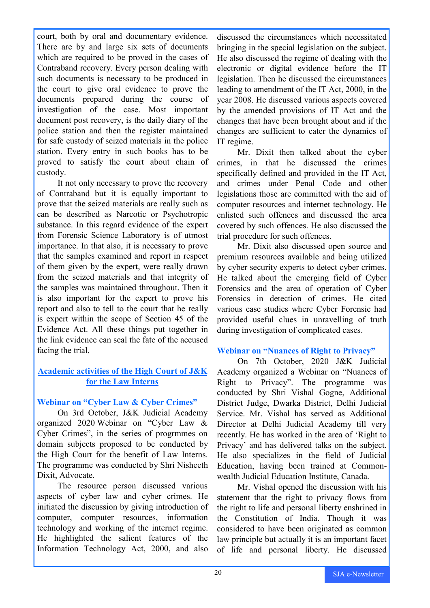court, both by oral and documentary evidence. There are by and large six sets of documents which are required to be proved in the cases of Contraband recovery. Every person dealing with such documents is necessary to be produced in the court to give oral evidence to prove the documents prepared during the course of investigation of the case. Most important document post recovery, is the daily diary of the police station and then the register maintained for safe custody of seized materials in the police station. Every entry in such books has to be proved to satisfy the court about chain of custody.

It not only necessary to prove the recovery of Contraband but it is equally important to prove that the seized materials are really such as can be described as Narcotic or Psychotropic substance. In this regard evidence of the expert from Forensic Science Laboratory is of utmost importance. In that also, it is necessary to prove that the samples examined and report in respect of them given by the expert, were really drawn from the seized materials and that integrity of the samples was maintained throughout. Then it is also important for the expert to prove his report and also to tell to the court that he really is expert within the scope of Section 45 of the Evidence Act. All these things put together in the link evidence can seal the fate of the accused facing the trial.

#### **Academic activities of the High Court of J&K for the Law Interns**

#### **Webinar on "Cyber Law & Cyber Crimes"**

On 3rd October, J&K Judicial Academy organized 2020 Webinar on "Cyber Law & Cyber Crimes", in the series of progrmmes on domain subjects proposed to be conducted by the High Court for the benefit of Law Interns. The programme was conducted by Shri Nisheeth Dixit, Advocate.

The resource person discussed various aspects of cyber law and cyber crimes. He initiated the discussion by giving introduction of computer, computer resources, information technology and working of the internet regime. He highlighted the salient features of the Information Technology Act, 2000, and also

discussed the circumstances which necessitated bringing in the special legislation on the subject. He also discussed the regime of dealing with the electronic or digital evidence before the IT legislation. Then he discussed the circumstances leading to amendment of the IT Act, 2000, in the year 2008. He discussed various aspects covered by the amended provisions of IT Act and the changes that have been brought about and if the changes are sufficient to cater the dynamics of IT regime.

Mr. Dixit then talked about the cyber crimes, in that he discussed the crimes specifically defined and provided in the IT Act, and crimes under Penal Code and other legislations those are committed with the aid of computer resources and internet technology. He enlisted such offences and discussed the area covered by such offences. He also discussed the trial procedure for such offences.

Mr. Dixit also discussed open source and premium resources available and being utilized by cyber security experts to detect cyber crimes. He talked about the emerging field of Cyber Forensics and the area of operation of Cyber Forensics in detection of crimes. He cited various case studies where Cyber Forensic had provided useful clues in unravelling of truth during investigation of complicated cases.

#### **Webinar on "Nuances of Right to Privacy"**

On 7th October, 2020 J&K Judicial Academy organized a Webinar on "Nuances of Right to Privacy". The programme was conducted by Shri Vishal Gogne, Additional District Judge, Dwarka District, Delhi Judicial Service. Mr. Vishal has served as Additional Director at Delhi Judicial Academy till very recently. He has worked in the area of 'Right to Privacy' and has delivered talks on the subject. He also specializes in the field of Judicial Education, having been trained at Commonwealth Judicial Education Institute, Canada.

Mr. Vishal opened the discussion with his statement that the right to privacy flows from the right to life and personal liberty enshrined in the Constitution of India. Though it was considered to have been originated as common law principle but actually it is an important facet of life and personal liberty. He discussed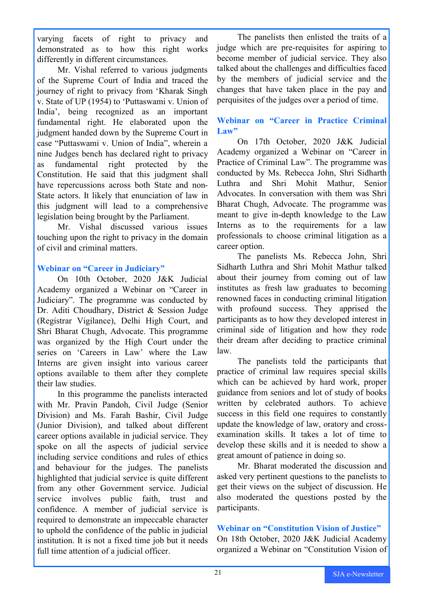varying facets of right to privacy and demonstrated as to how this right works differently in different circumstances.

Mr. Vishal referred to various judgments of the Supreme Court of India and traced the journey of right to privacy from 'Kharak Singh v. State of UP (1954) to 'Puttaswami v. Union of India', being recognized as an important fundamental right. He elaborated upon the judgment handed down by the Supreme Court in case "Puttaswami v. Union of India", wherein a nine Judges bench has declared right to privacy as fundamental right protected by the Constitution. He said that this judgment shall have repercussions across both State and non-State actors. It likely that enunciation of law in this judgment will lead to a comprehensive legislation being brought by the Parliament.

Mr. Vishal discussed various issues touching upon the right to privacy in the domain of civil and criminal matters.

#### **Webinar on "Career in Judiciary"**

On 10th October, 2020 J&K Judicial Academy organized a Webinar on "Career in Judiciary". The programme was conducted by Dr. Aditi Choudhary, District & Session Judge (Registrar Vigilance), Delhi High Court, and Shri Bharat Chugh, Advocate. This programme was organized by the High Court under the series on 'Careers in Law' where the Law Interns are given insight into various career options available to them after they complete their law studies.

In this programme the panelists interacted with Mr. Pravin Pandoh, Civil Judge (Senior Division) and Ms. Farah Bashir, Civil Judge (Junior Division), and talked about different career options available in judicial service. They spoke on all the aspects of judicial service including service conditions and rules of ethics and behaviour for the judges. The panelists highlighted that judicial service is quite different from any other Government service. Judicial service involves public faith, trust and confidence. A member of judicial service is required to demonstrate an impeccable character to uphold the confidence of the public in judicial institution. It is not a fixed time job but it needs full time attention of a judicial officer.

The panelists then enlisted the traits of a judge which are pre-requisites for aspiring to become member of judicial service. They also talked about the challenges and difficulties faced by the members of judicial service and the changes that have taken place in the pay and perquisites of the judges over a period of time.

#### **Webinar on "Career in Practice Criminal Law"**

On 17th October, 2020 J&K Judicial Academy organized a Webinar on "Career in Practice of Criminal Law". The programme was conducted by Ms. Rebecca John, Shri Sidharth Luthra and Shri Mohit Mathur, Senior Advocates. In conversation with them was Shri Bharat Chugh, Advocate. The programme was meant to give in-depth knowledge to the Law Interns as to the requirements for a law professionals to choose criminal litigation as a career option.

The panelists Ms. Rebecca John, Shri Sidharth Luthra and Shri Mohit Mathur talked about their journey from coming out of law institutes as fresh law graduates to becoming renowned faces in conducting criminal litigation with profound success. They apprised the participants as to how they developed interest in criminal side of litigation and how they rode their dream after deciding to practice criminal law.

The panelists told the participants that practice of criminal law requires special skills which can be achieved by hard work, proper guidance from seniors and lot of study of books written by celebrated authors. To achieve success in this field one requires to constantly update the knowledge of law, oratory and crossexamination skills. It takes a lot of time to develop these skills and it is needed to show a great amount of patience in doing so.

Mr. Bharat moderated the discussion and asked very pertinent questions to the panelists to get their views on the subject of discussion. He also moderated the questions posted by the participants.

#### **Webinar on "Constitution Vision of Justice"**

On 18th October, 2020 J&K Judicial Academy organized a Webinar on "Constitution Vision of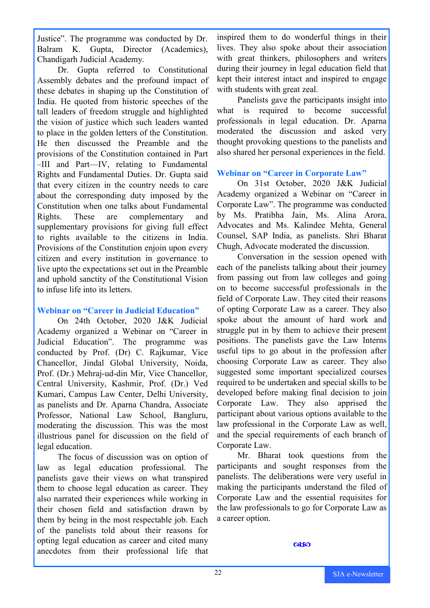Justice". The programme was conducted by Dr. Balram K. Gupta, Director (Academics), Chandigarh Judicial Academy.

Dr. Gupta referred to Constitutional Assembly debates and the profound impact of these debates in shaping up the Constitution of India. He quoted from historic speeches of the tall leaders of freedom struggle and highlighted the vision of justice which such leaders wanted to place in the golden letters of the Constitution. He then discussed the Preamble and the provisions of the Constitution contained in Part –III and Part—IV, relating to Fundamental Rights and Fundamental Duties. Dr. Gupta said that every citizen in the country needs to care about the corresponding duty imposed by the Constitution when one talks about Fundamental Rights. These are complementary and supplementary provisions for giving full effect to rights available to the citizens in India. Provisions of the Constitution enjoin upon every citizen and every institution in governance to live upto the expectations set out in the Preamble and uphold sanctity of the Constitutional Vision to infuse life into its letters.

#### **Webinar on "Career in Judicial Education"**

On 24th October, 2020 J&K Judicial Academy organized a Webinar on "Career in Judicial Education". The programme was conducted by Prof. (Dr) C. Rajkumar, Vice Chancellor, Jindal Global University, Noida, Prof. (Dr.) Mehraj-ud-din Mir, Vice Chancellor, Central University, Kashmir, Prof. (Dr.) Ved Kumari, Campus Law Center, Delhi University, as panelists and Dr. Aparna Chandra, Associate Professor, National Law School, Bangluru, moderating the discussion. This was the most illustrious panel for discussion on the field of legal education.

The focus of discussion was on option of law as legal education professional. The panelists gave their views on what transpired them to choose legal education as career. They also narrated their experiences while working in their chosen field and satisfaction drawn by them by being in the most respectable job. Each of the panelists told about their reasons for opting legal education as career and cited many anecdotes from their professional life that

inspired them to do wonderful things in their lives. They also spoke about their association with great thinkers, philosophers and writers during their journey in legal education field that kept their interest intact and inspired to engage with students with great zeal.

Panelists gave the participants insight into what is required to become successful professionals in legal education. Dr. Aparna moderated the discussion and asked very thought provoking questions to the panelists and also shared her personal experiences in the field.

#### **Webinar on "Career in Corporate Law"**

On 31st October, 2020 J&K Judicial Academy organized a Webinar on "Career in Corporate Law". The programme was conducted by Ms. Pratibha Jain, Ms. Alina Arora, Advocates and Ms. Kalindee Mehta, General Counsel, SAP India, as panelists. Shri Bharat Chugh, Advocate moderated the discussion.

Conversation in the session opened with each of the panelists talking about their journey from passing out from law colleges and going on to become successful professionals in the field of Corporate Law. They cited their reasons of opting Corporate Law as a career. They also spoke about the amount of hard work and struggle put in by them to achieve their present positions. The panelists gave the Law Interns useful tips to go about in the profession after choosing Corporate Law as career. They also suggested some important specialized courses required to be undertaken and special skills to be developed before making final decision to join Corporate Law. They also apprised the participant about various options available to the law professional in the Corporate Law as well, and the special requirements of each branch of Corporate Law.

Mr. Bharat took questions from the participants and sought responses from the panelists. The deliberations were very useful in making the participants understand the filed of Corporate Law and the essential requisites for the law professionals to go for Corporate Law as a career option.

෬෩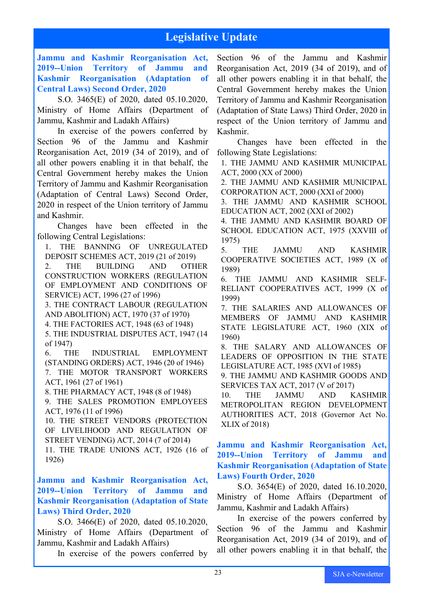# **Legislative Update**

**Jammu and Kashmir Reorganisation Act, 2019--Union Territory of Jammu and Kashmir Reorganisation (Adaptation of Central Laws) Second Order, 2020**

S.O. 3465(E) of 2020, dated 05.10.2020, Ministry of Home Affairs (Department of Jammu, Kashmir and Ladakh Affairs)

In exercise of the powers conferred by Section 96 of the Jammu and Kashmir Reorganisation Act, 2019 (34 of 2019), and of all other powers enabling it in that behalf, the Central Government hereby makes the Union Territory of Jammu and Kashmir Reorganisation (Adaptation of Central Laws) Second Order, 2020 in respect of the Union territory of Jammu and Kashmir.

Changes have been effected in the following Central Legislations:

1. THE BANNING OF UNREGULATED DEPOSIT SCHEMES ACT, 2019 (21 of 2019)

2. THE BUILDING AND OTHER CONSTRUCTION WORKERS (REGULATION OF EMPLOYMENT AND CONDITIONS OF SERVICE) ACT, 1996 (27 of 1996)

3. THE CONTRACT LABOUR (REGULATION AND ABOLITION) ACT, 1970 (37 of 1970)

4. THE FACTORIES ACT, 1948 (63 of 1948)

5. THE INDUSTRIAL DISPUTES ACT, 1947 (14 of 1947)

6. THE INDUSTRIAL EMPLOYMENT (STANDING ORDERS) ACT, 1946 (20 of 1946) 7. THE MOTOR TRANSPORT WORKERS ACT, 1961 (27 of 1961)

8. THE PHARMACY ACT, 1948 (8 of 1948)

9. THE SALES PROMOTION EMPLOYEES ACT, 1976 (11 of 1996)

10. THE STREET VENDORS (PROTECTION OF LIVELIHOOD AND REGULATION OF STREET VENDING) ACT, 2014 (7 of 2014) 11. THE TRADE UNIONS ACT, 1926 (16 of 1926)

**Jammu and Kashmir Reorganisation Act, 2019--Union Territory of Jammu and Kashmir Reorganisation (Adaptation of State Laws) Third Order, 2020**

S.O. 3466(E) of 2020, dated 05.10.2020, Ministry of Home Affairs (Department of Jammu, Kashmir and Ladakh Affairs)

In exercise of the powers conferred by

Section 96 of the Jammu and Kashmir Reorganisation Act, 2019 (34 of 2019), and of all other powers enabling it in that behalf, the Central Government hereby makes the Union Territory of Jammu and Kashmir Reorganisation (Adaptation of State Laws) Third Order, 2020 in respect of the Union territory of Jammu and Kashmir.

Changes have been effected in the following State Legislations:

1. THE JAMMU AND KASHMIR MUNICIPAL ACT, 2000 (XX of 2000)

2. THE JAMMU AND KASHMIR MUNICIPAL CORPORATION ACT, 2000 (XXI of 2000)

3. THE JAMMU AND KASHMIR SCHOOL EDUCATION ACT, 2002 (XXI of 2002)

4. THE JAMMU AND KASHMIR BOARD OF SCHOOL EDUCATION ACT, 1975 (XXVIII of 1975)

5. THE JAMMU AND KASHMIR COOPERATIVE SOCIETIES ACT, 1989 (X of 1989)

6. THE JAMMU AND KASHMIR SELF-RELIANT COOPERATIVES ACT, 1999 (X of 1999)

7. THE SALARIES AND ALLOWANCES OF MEMBERS OF JAMMU AND KASHMIR STATE LEGISLATURE ACT, 1960 (XIX of 1960)

8. THE SALARY AND ALLOWANCES OF LEADERS OF OPPOSITION IN THE STATE LEGISLATURE ACT, 1985 (XVI of 1985)

9. THE JAMMU AND KASHMIR GOODS AND SERVICES TAX ACT, 2017 (V of 2017)

10. THE JAMMU AND KASHMIR METROPOLITAN REGION DEVELOPMENT AUTHORITIES ACT, 2018 (Governor Act No. XLIX of 2018)

**Jammu and Kashmir Reorganisation Act, 2019--Union Territory of Jammu and Kashmir Reorganisation (Adaptation of State Laws) Fourth Order, 2020**

S.O. 3654(E) of 2020, dated 16.10.2020, Ministry of Home Affairs (Department of Jammu, Kashmir and Ladakh Affairs)

In exercise of the powers conferred by Section 96 of the Jammu and Kashmir Reorganisation Act, 2019 (34 of 2019), and of all other powers enabling it in that behalf, the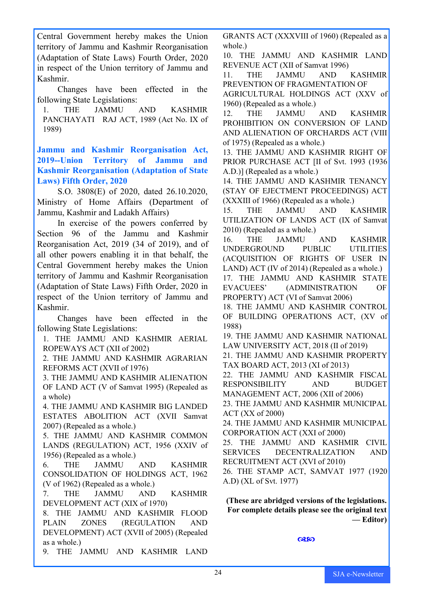Central Government hereby makes the Union territory of Jammu and Kashmir Reorganisation (Adaptation of State Laws) Fourth Order, 2020 in respect of the Union territory of Jammu and Kashmir.

Changes have been effected in the following State Legislations:

1. THE JAMMU AND KASHMIR PANCHAYATI RAJ ACT, 1989 (Act No. IX of 1989)

**Jammu and Kashmir Reorganisation Act, 2019--Union Territory of Jammu and Kashmir Reorganisation (Adaptation of State Laws) Fifth Order, 2020**

S.O. 3808(E) of 2020, dated 26.10.2020, Ministry of Home Affairs (Department of Jammu, Kashmir and Ladakh Affairs)

In exercise of the powers conferred by Section 96 of the Jammu and Kashmir Reorganisation Act, 2019 (34 of 2019), and of all other powers enabling it in that behalf, the Central Government hereby makes the Union territory of Jammu and Kashmir Reorganisation (Adaptation of State Laws) Fifth Order, 2020 in respect of the Union territory of Jammu and Kashmir.

Changes have been effected in the following State Legislations:

1. THE JAMMU AND KASHMIR AERIAL ROPEWAYS ACT (XII of 2002)

2. THE JAMMU AND KASHMIR AGRARIAN REFORMS ACT (XVII of 1976)

3. THE JAMMU AND KASHMIR ALIENATION OF LAND ACT (V of Samvat 1995) (Repealed as a whole)

4. THE JAMMU AND KASHMIR BIG LANDED ESTATES ABOLITION ACT (XVII Samvat 2007) (Repealed as a whole.)

5. THE JAMMU AND KASHMIR COMMON LANDS (REGULATION) ACT, 1956 (XXIV of 1956) (Repealed as a whole.)

6. THE JAMMU AND KASHMIR CONSOLIDATION OF HOLDINGS ACT, 1962 (V of 1962) (Repealed as a whole.)

7. THE JAMMU AND KASHMIR DEVELOPMENT ACT (XIX of 1970)

8. THE JAMMU AND KASHMIR FLOOD PLAIN ZONES (REGULATION AND DEVELOPMENT) ACT (XVII of 2005) (Repealed as a whole.)

9. THE JAMMU AND KASHMIR LAND

GRANTS ACT (XXXVIII of 1960) (Repealed as a whole.)

10. THE JAMMU AND KASHMIR LAND REVENUE ACT (XII of Samvat 1996)

11. THE JAMMU AND KASHMIR PREVENTION OF FRAGMENTATION OF

AGRICULTURAL HOLDINGS ACT (XXV of 1960) (Repealed as a whole.)

12. THE JAMMU AND KASHMIR PROHIBITION ON CONVERSION OF LAND AND ALIENATION OF ORCHARDS ACT (VIII of 1975) (Repealed as a whole.)

13. THE JAMMU AND KASHMIR RIGHT OF PRIOR PURCHASE ACT [II of Svt. 1993 (1936 A.D.)] (Repealed as a whole.)

14. THE JAMMU AND KASHMIR TENANCY (STAY OF EJECTMENT PROCEEDINGS) ACT (XXXIII of 1966) (Repealed as a whole.)

15. THE JAMMU AND KASHMIR UTILIZATION OF LANDS ACT (IX of Samvat 2010) (Repealed as a whole.)

16. THE JAMMU AND KASHMIR UNDERGROUND PUBLIC UTILITIES (ACQUISITION OF RIGHTS OF USER IN LAND) ACT (IV of 2014) (Repealed as a whole.) 17. THE JAMMU AND KASHMIR STATE

EVACUEES' (ADMINISTRATION OF PROPERTY) ACT (VI of Samvat 2006)

18. THE JAMMU AND KASHMIR CONTROL OF BUILDING OPERATIONS ACT, (XV of 1988)

19. THE JAMMU AND KASHMIR NATIONAL LAW UNIVERSITY ACT, 2018 (II of 2019)

21. THE JAMMU AND KASHMIR PROPERTY TAX BOARD ACT, 2013 (XI of 2013)

22. THE JAMMU AND KASHMIR FISCAL RESPONSIBILITY AND BUDGET MANAGEMENT ACT, 2006 (XII of 2006)

23. THE JAMMU AND KASHMIR MUNICIPAL ACT (XX of 2000)

24. THE JAMMU AND KASHMIR MUNICIPAL CORPORATION ACT (XXI of 2000)

25. THE JAMMU AND KASHMIR CIVIL SERVICES DECENTRALIZATION AND RECRUITMENT ACT (XVI of 2010)

26. THE STAMP ACT, SAMVAT 1977 (1920 A.D) (XL of Svt. 1977)

**(These are abridged versions of the legislations. For complete details please see the original text — Editor)**

 $@30$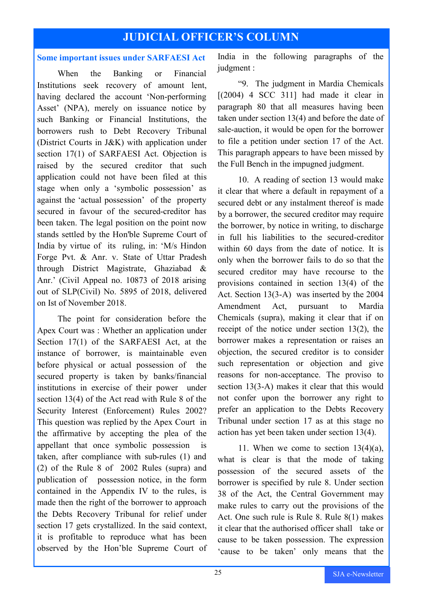# **JUDICIAL OFFICER'S COLUMN**

#### **Some important issues under SARFAESI Act**

When the Banking or Financial Institutions seek recovery of amount lent, having declared the account 'Non-performing Asset' (NPA), merely on issuance notice by such Banking or Financial Institutions, the borrowers rush to Debt Recovery Tribunal (District Courts in J&K) with application under section 17(1) of SARFAESI Act. Objection is raised by the secured creditor that such application could not have been filed at this stage when only a 'symbolic possession' as against the 'actual possession' of the property secured in favour of the secured-creditor has been taken. The legal position on the point now stands settled by the Hon'ble Supreme Court of India by virtue of its ruling, in: 'M/s Hindon Forge Pvt. & Anr. v. State of Uttar Pradesh through District Magistrate, Ghaziabad & Anr.' (Civil Appeal no. 10873 of 2018 arising out of SLP(Civil) No. 5895 of 2018, delivered on Ist of November 2018.

The point for consideration before the Apex Court was : Whether an application under Section 17(1) of the SARFAESI Act, at the instance of borrower, is maintainable even before physical or actual possession of the secured property is taken by banks/financial institutions in exercise of their power under section 13(4) of the Act read with Rule 8 of the Security Interest (Enforcement) Rules 2002? This question was replied by the Apex Court in the affirmative by accepting the plea of the appellant that once symbolic possession is taken, after compliance with sub-rules (1) and (2) of the Rule 8 of 2002 Rules (supra) and publication of possession notice, in the form contained in the Appendix IV to the rules, is made then the right of the borrower to approach the Debts Recovery Tribunal for relief under section 17 gets crystallized. In the said context, it is profitable to reproduce what has been observed by the Hon'ble Supreme Court of

India in the following paragraphs of the judgment :

"9. The judgment in Mardia Chemicals  $[(2004)$  4 SCC 311] had made it clear in paragraph 80 that all measures having been taken under section 13(4) and before the date of sale-auction, it would be open for the borrower to file a petition under section 17 of the Act. This paragraph appears to have been missed by the Full Bench in the impugned judgment.

10. A reading of section 13 would make it clear that where a default in repayment of a secured debt or any instalment thereof is made by a borrower, the secured creditor may require the borrower, by notice in writing, to discharge in full his liabilities to the secured-creditor within 60 days from the date of notice. It is only when the borrower fails to do so that the secured creditor may have recourse to the provisions contained in section 13(4) of the Act. Section 13(3-A) was inserted by the 2004 Amendment Act, pursuant to Mardia Chemicals (supra), making it clear that if on receipt of the notice under section 13(2), the borrower makes a representation or raises an objection, the secured creditor is to consider such representation or objection and give reasons for non-acceptance. The proviso to section 13(3-A) makes it clear that this would not confer upon the borrower any right to prefer an application to the Debts Recovery Tribunal under section 17 as at this stage no action has yet been taken under section 13(4).

11. When we come to section  $13(4)(a)$ , what is clear is that the mode of taking possession of the secured assets of the borrower is specified by rule 8. Under section 38 of the Act, the Central Government may make rules to carry out the provisions of the Act. One such rule is Rule 8. Rule 8(1) makes it clear that the authorised officer shall take or cause to be taken possession. The expression 'cause to be taken' only means that the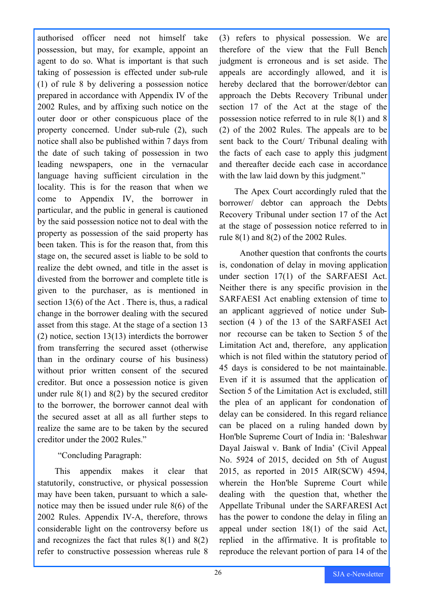authorised officer need not himself take possession, but may, for example, appoint an agent to do so. What is important is that such taking of possession is effected under sub-rule (1) of rule 8 by delivering a possession notice prepared in accordance with Appendix IV of the 2002 Rules, and by affixing such notice on the outer door or other conspicuous place of the property concerned. Under sub-rule (2), such notice shall also be published within 7 days from the date of such taking of possession in two leading newspapers, one in the vernacular language having sufficient circulation in the locality. This is for the reason that when we come to Appendix IV, the borrower in particular, and the public in general is cautioned by the said possession notice not to deal with the property as possession of the said property has been taken. This is for the reason that, from this stage on, the secured asset is liable to be sold to realize the debt owned, and title in the asset is divested from the borrower and complete title is given to the purchaser, as is mentioned in section 13(6) of the Act . There is, thus, a radical change in the borrower dealing with the secured asset from this stage. At the stage of a section 13 (2) notice, section 13(13) interdicts the borrower from transferring the secured asset (otherwise than in the ordinary course of his business) without prior written consent of the secured creditor. But once a possession notice is given under rule  $8(1)$  and  $8(2)$  by the secured creditor to the borrower, the borrower cannot deal with the secured asset at all as all further steps to realize the same are to be taken by the secured creditor under the 2002 Rules."

"Concluding Paragraph:

 This appendix makes it clear that statutorily, constructive, or physical possession may have been taken, pursuant to which a salenotice may then be issued under rule 8(6) of the 2002 Rules. Appendix IV-A, therefore, throws considerable light on the controversy before us and recognizes the fact that rules 8(1) and 8(2) refer to constructive possession whereas rule 8

(3) refers to physical possession. We are therefore of the view that the Full Bench judgment is erroneous and is set aside. The appeals are accordingly allowed, and it is hereby declared that the borrower/debtor can approach the Debts Recovery Tribunal under section 17 of the Act at the stage of the possession notice referred to in rule 8(1) and 8 (2) of the 2002 Rules. The appeals are to be sent back to the Court/ Tribunal dealing with the facts of each case to apply this judgment and thereafter decide each case in accordance with the law laid down by this judgment."

 The Apex Court accordingly ruled that the borrower/ debtor can approach the Debts Recovery Tribunal under section 17 of the Act at the stage of possession notice referred to in rule 8(1) and 8(2) of the 2002 Rules.

Another question that confronts the courts is, condonation of delay in moving application under section 17(1) of the SARFAESI Act. Neither there is any specific provision in the SARFAESI Act enabling extension of time to an applicant aggrieved of notice under Subsection (4 ) of the 13 of the SARFASEI Act nor recourse can be taken to Section 5 of the Limitation Act and, therefore, any application which is not filed within the statutory period of 45 days is considered to be not maintainable. Even if it is assumed that the application of Section 5 of the Limitation Act is excluded, still the plea of an applicant for condonation of delay can be considered. In this regard reliance can be placed on a ruling handed down by Hon'ble Supreme Court of India in: 'Baleshwar Dayal Jaiswal v. Bank of India' (Civil Appeal No. 5924 of 2015, decided on 5th of August 2015, as reported in 2015 AIR(SCW) 4594, wherein the Hon'ble Supreme Court while dealing with the question that, whether the Appellate Tribunal under the SARFARESI Act has the power to condone the delay in filing an appeal under section 18(1) of the said Act, replied in the affirmative. It is profitable to reproduce the relevant portion of para 14 of the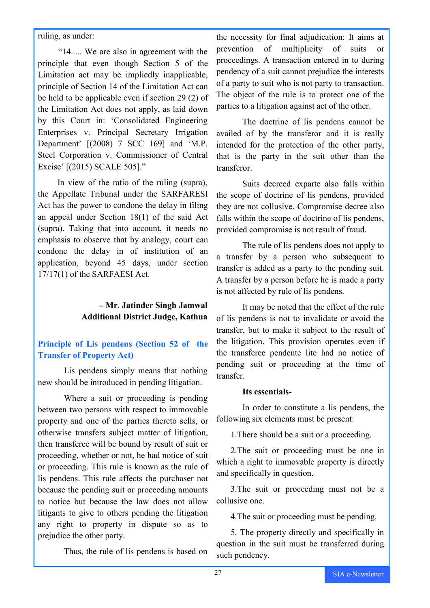#### ruling, as under:

"14..... We are also in agreement with the principle that even though Section 5 of the Limitation act may be impliedly inapplicable, principle of Section 14 of the Limitation Act can be held to be applicable even if section 29 (2) of the Limitation Act does not apply, as laid down by this Court in: 'Consolidated Engineering Enterprises v. Principal Secretary Irrigation Department' [(2008) 7 SCC 169] and 'M.P. Steel Corporation v. Commissioner of Central Excise' [(2015) SCALE 505]."

 In view of the ratio of the ruling (supra), the Appellate Tribunal under the SARFARESI Act has the power to condone the delay in filing an appeal under Section 18(1) of the said Act (supra). Taking that into account, it needs no emphasis to observe that by analogy, court can condone the delay in of institution of an application, beyond 45 days, under section 17/17(1) of the SARFAESI Act.

#### **– Mr. Jatinder Singh Jamwal Additional District Judge, Kathua**

### **Principle of Lis pendens (Section 52 of the Transfer of Property Act)**

Lis pendens simply means that nothing new should be introduced in pending litigation.

Where a suit or proceeding is pending between two persons with respect to immovable property and one of the parties thereto sells, or otherwise transfers subject matter of litigation, then transferee will be bound by result of suit or proceeding, whether or not, he had notice of suit or proceeding. This rule is known as the rule of lis pendens. This rule affects the purchaser not because the pending suit or proceeding amounts to notice but because the law does not allow litigants to give to others pending the litigation any right to property in dispute so as to prejudice the other party.

Thus, the rule of lis pendens is based on

the necessity for final adjudication: It aims at prevention of multiplicity of suits or proceedings. A transaction entered in to during pendency of a suit cannot prejudice the interests of a party to suit who is not party to transaction. The object of the rule is to protect one of the parties to a litigation against act of the other.

The doctrine of lis pendens cannot be availed of by the transferor and it is really intended for the protection of the other party, that is the party in the suit other than the transferor.

Suits decreed exparte also falls within the scope of doctrine of lis pendens, provided they are not collusive. Compromise decree also falls within the scope of doctrine of lis pendens, provided compromise is not result of fraud.

The rule of lis pendens does not apply to a transfer by a person who subsequent to transfer is added as a party to the pending suit. A transfer by a person before he is made a party is not affected by rule of lis pendens.

It may be noted that the effect of the rule of lis pendens is not to invalidate or avoid the transfer, but to make it subject to the result of the litigation. This provision operates even if the transferee pendente lite had no notice of pending suit or proceeding at the time of transfer.

#### **Its essentials-**

In order to constitute a lis pendens, the following six elements must be present:

1.There should be a suit or a proceeding.

2.The suit or proceeding must be one in which a right to immovable property is directly and specifically in question.

3.The suit or proceeding must not be a collusive one.

4.The suit or proceeding must be pending.

5. The property directly and specifically in question in the suit must be transferred during such pendency.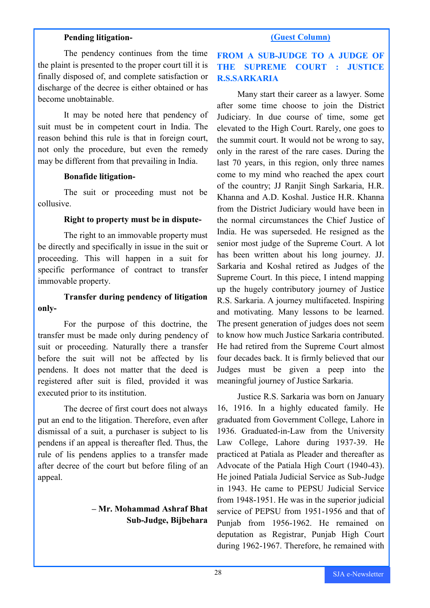#### **Pending litigation-**

The pendency continues from the time the plaint is presented to the proper court till it is finally disposed of, and complete satisfaction or discharge of the decree is either obtained or has become unobtainable.

It may be noted here that pendency of suit must be in competent court in India. The reason behind this rule is that in foreign court, not only the procedure, but even the remedy may be different from that prevailing in India.

#### **Bonafide litigation-**

The suit or proceeding must not be collusive.

#### **Right to property must be in dispute-**

The right to an immovable property must be directly and specifically in issue in the suit or proceeding. This will happen in a suit for specific performance of contract to transfer immovable property.

#### **Transfer during pendency of litigation only-**

For the purpose of this doctrine, the transfer must be made only during pendency of suit or proceeding. Naturally there a transfer before the suit will not be affected by lis pendens. It does not matter that the deed is registered after suit is filed, provided it was executed prior to its institution.

The decree of first court does not always put an end to the litigation. Therefore, even after dismissal of a suit, a purchaser is subject to lis pendens if an appeal is thereafter fled. Thus, the rule of lis pendens applies to a transfer made after decree of the court but before filing of an appeal.

#### **– Mr. Mohammad Ashraf Bhat Sub-Judge, Bijbehara**

#### **(Guest Column)**

### **FROM A SUB-JUDGE TO A JUDGE OF THE SUPREME COURT : JUSTICE R.S.SARKARIA**

Many start their career as a lawyer. Some after some time choose to join the District Judiciary. In due course of time, some get elevated to the High Court. Rarely, one goes to the summit court. It would not be wrong to say, only in the rarest of the rare cases. During the last 70 years, in this region, only three names come to my mind who reached the apex court of the country; JJ Ranjit Singh Sarkaria, H.R. Khanna and A.D. Koshal. Justice H.R. Khanna from the District Judiciary would have been in the normal circumstances the Chief Justice of India. He was superseded. He resigned as the senior most judge of the Supreme Court. A lot has been written about his long journey. JJ. Sarkaria and Koshal retired as Judges of the Supreme Court. In this piece, I intend mapping up the hugely contributory journey of Justice R.S. Sarkaria. A journey multifaceted. Inspiring and motivating. Many lessons to be learned. The present generation of judges does not seem to know how much Justice Sarkaria contributed. He had retired from the Supreme Court almost four decades back. It is firmly believed that our Judges must be given a peep into the meaningful journey of Justice Sarkaria.

Justice R.S. Sarkaria was born on January 16, 1916. In a highly educated family. He graduated from Government College, Lahore in 1936. Graduated-in-Law from the University Law College, Lahore during 1937-39. He practiced at Patiala as Pleader and thereafter as Advocate of the Patiala High Court (1940-43). He joined Patiala Judicial Service as Sub-Judge in 1943. He came to PEPSU Judicial Service from 1948-1951. He was in the superior judicial service of PEPSU from 1951-1956 and that of Punjab from 1956-1962. He remained on deputation as Registrar, Punjab High Court during 1962-1967. Therefore, he remained with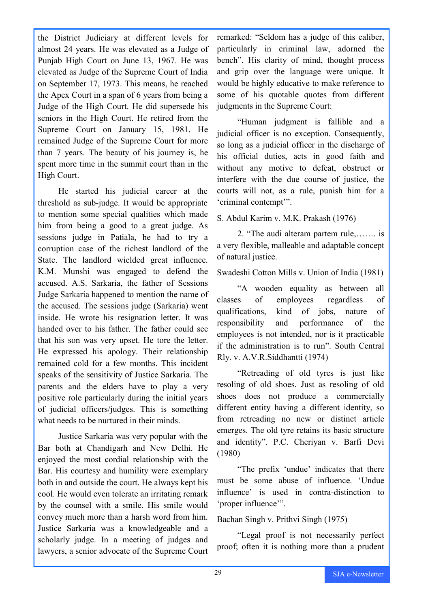the District Judiciary at different levels for almost 24 years. He was elevated as a Judge of Punjab High Court on June 13, 1967. He was elevated as Judge of the Supreme Court of India on September 17, 1973. This means, he reached the Apex Court in a span of 6 years from being a Judge of the High Court. He did supersede his seniors in the High Court. He retired from the Supreme Court on January 15, 1981. He remained Judge of the Supreme Court for more than 7 years. The beauty of his journey is, he spent more time in the summit court than in the High Court.

He started his judicial career at the threshold as sub-judge. It would be appropriate to mention some special qualities which made him from being a good to a great judge. As sessions judge in Patiala, he had to try a corruption case of the richest landlord of the State. The landlord wielded great influence. K.M. Munshi was engaged to defend the accused. A.S. Sarkaria, the father of Sessions Judge Sarkaria happened to mention the name of the accused. The sessions judge (Sarkaria) went inside. He wrote his resignation letter. It was handed over to his father. The father could see that his son was very upset. He tore the letter. He expressed his apology. Their relationship remained cold for a few months. This incident speaks of the sensitivity of Justice Sarkaria. The parents and the elders have to play a very positive role particularly during the initial years of judicial officers/judges. This is something what needs to be nurtured in their minds.

Justice Sarkaria was very popular with the Bar both at Chandigarh and New Delhi. He enjoyed the most cordial relationship with the Bar. His courtesy and humility were exemplary both in and outside the court. He always kept his cool. He would even tolerate an irritating remark by the counsel with a smile. His smile would convey much more than a harsh word from him. Justice Sarkaria was a knowledgeable and a scholarly judge. In a meeting of judges and lawyers, a senior advocate of the Supreme Court

remarked: "Seldom has a judge of this caliber, particularly in criminal law, adorned the bench". His clarity of mind, thought process and grip over the language were unique. It would be highly educative to make reference to some of his quotable quotes from different judgments in the Supreme Court:

"Human judgment is fallible and a judicial officer is no exception. Consequently, so long as a judicial officer in the discharge of his official duties, acts in good faith and without any motive to defeat, obstruct or interfere with the due course of justice, the courts will not, as a rule, punish him for a 'criminal contempt'".

S. Abdul Karim v. M.K. Prakash (1976)

2. "The audi alteram partem rule,……. is a very flexible, malleable and adaptable concept of natural justice.

Swadeshi Cotton Mills v. Union of India (1981)

"A wooden equality as between all classes of employees regardless of qualifications, kind of jobs, nature of responsibility and performance of the employees is not intended, nor is it practicable if the administration is to run". South Central Rly. v. A.V.R.Siddhantti (1974)

"Retreading of old tyres is just like resoling of old shoes. Just as resoling of old shoes does not produce a commercially different entity having a different identity, so from retreading no new or distinct article emerges. The old tyre retains its basic structure and identity". P.C. Cheriyan v. Barfi Devi (1980)

"The prefix 'undue' indicates that there must be some abuse of influence. 'Undue influence' is used in contra-distinction to 'proper influence'".

Bachan Singh v. Prithvi Singh (1975)

"Legal proof is not necessarily perfect proof; often it is nothing more than a prudent